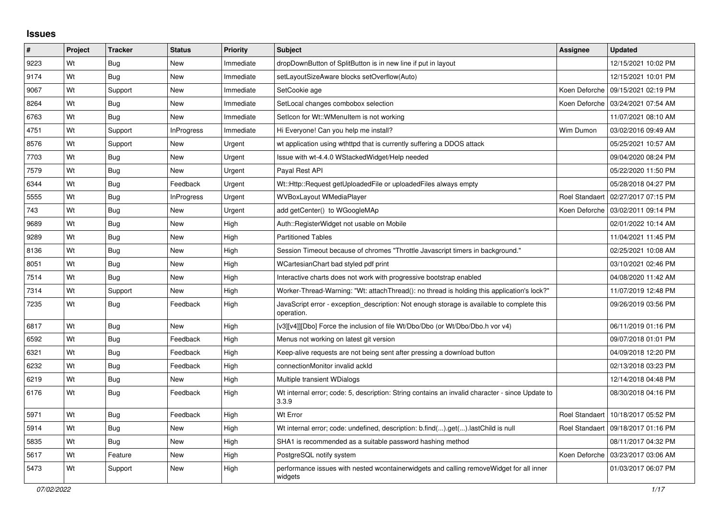## **Issues**

| ∦    | Project | <b>Tracker</b> | <b>Status</b>     | <b>Priority</b> | <b>Subject</b>                                                                                           | <b>Assignee</b>       | <b>Updated</b>      |
|------|---------|----------------|-------------------|-----------------|----------------------------------------------------------------------------------------------------------|-----------------------|---------------------|
| 9223 | Wt      | Bug            | New               | Immediate       | dropDownButton of SplitButton is in new line if put in layout                                            |                       | 12/15/2021 10:02 PM |
| 9174 | Wt      | Bug            | New               | Immediate       | setLayoutSizeAware blocks setOverflow(Auto)                                                              |                       | 12/15/2021 10:01 PM |
| 9067 | Wt      | Support        | New               | Immediate       | SetCookie age                                                                                            | Koen Deforche         | 09/15/2021 02:19 PM |
| 8264 | Wt      | <b>Bug</b>     | New               | Immediate       | SetLocal changes combobox selection                                                                      | Koen Deforche         | 03/24/2021 07:54 AM |
| 6763 | Wt      | Bug            | New               | Immediate       | SetIcon for Wt::WMenuItem is not working                                                                 |                       | 11/07/2021 08:10 AM |
| 4751 | Wt      | Support        | <b>InProgress</b> | Immediate       | Hi Everyone! Can you help me install?                                                                    | Wim Dumon             | 03/02/2016 09:49 AM |
| 8576 | Wt      | Support        | New               | Urgent          | wt application using wthttpd that is currently suffering a DDOS attack                                   |                       | 05/25/2021 10:57 AM |
| 7703 | Wt      | <b>Bug</b>     | New               | Urgent          | Issue with wt-4.4.0 WStackedWidget/Help needed                                                           |                       | 09/04/2020 08:24 PM |
| 7579 | Wt      | Bug            | New               | Urgent          | Payal Rest API                                                                                           |                       | 05/22/2020 11:50 PM |
| 6344 | Wt      | <b>Bug</b>     | Feedback          | Urgent          | Wt::Http::Request getUploadedFile or uploadedFiles always empty                                          |                       | 05/28/2018 04:27 PM |
| 5555 | Wt      | <b>Bug</b>     | InProgress        | Urgent          | WVBoxLayout WMediaPlayer                                                                                 | Roel Standaert        | 02/27/2017 07:15 PM |
| 743  | Wt      | Bug            | New               | Urgent          | add getCenter() to WGoogleMAp                                                                            | Koen Deforche         | 03/02/2011 09:14 PM |
| 9689 | Wt      | Bug            | New               | High            | Auth::RegisterWidget not usable on Mobile                                                                |                       | 02/01/2022 10:14 AM |
| 9289 | Wt      | <b>Bug</b>     | New               | High            | <b>Partitioned Tables</b>                                                                                |                       | 11/04/2021 11:45 PM |
| 8136 | Wt      | Bug            | New               | High            | Session Timeout because of chromes "Throttle Javascript timers in background."                           |                       | 02/25/2021 10:08 AM |
| 8051 | Wt      | Bug            | <b>New</b>        | High            | WCartesianChart bad styled pdf print                                                                     |                       | 03/10/2021 02:46 PM |
| 7514 | Wt      | Bug            | New               | High            | Interactive charts does not work with progressive bootstrap enabled                                      |                       | 04/08/2020 11:42 AM |
| 7314 | Wt      | Support        | New               | High            | Worker-Thread-Warning: "Wt: attachThread(): no thread is holding this application's lock?"               |                       | 11/07/2019 12:48 PM |
| 7235 | Wt      | Bug            | Feedback          | High            | JavaScript error - exception description: Not enough storage is available to complete this<br>operation. |                       | 09/26/2019 03:56 PM |
| 6817 | Wt      | <b>Bug</b>     | New               | High            | [v3][v4]][Dbo] Force the inclusion of file Wt/Dbo/Dbo (or Wt/Dbo/Dbo.h vor v4)                           |                       | 06/11/2019 01:16 PM |
| 6592 | Wt      | Bug            | Feedback          | High            | Menus not working on latest git version                                                                  |                       | 09/07/2018 01:01 PM |
| 6321 | Wt      | <b>Bug</b>     | Feedback          | High            | Keep-alive requests are not being sent after pressing a download button                                  |                       | 04/09/2018 12:20 PM |
| 6232 | Wt      | <b>Bug</b>     | Feedback          | High            | connectionMonitor invalid ackId                                                                          |                       | 02/13/2018 03:23 PM |
| 6219 | Wt      | Bug            | New               | High            | Multiple transient WDialogs                                                                              |                       | 12/14/2018 04:48 PM |
| 6176 | Wt      | Bug            | Feedback          | High            | Wt internal error; code: 5, description: String contains an invalid character - since Update to<br>3.3.9 |                       | 08/30/2018 04:16 PM |
| 5971 | Wt      | Bug            | Feedback          | High            | Wt Error                                                                                                 | <b>Roel Standaert</b> | 10/18/2017 05:52 PM |
| 5914 | Wt      | <b>Bug</b>     | New               | High            | Wt internal error; code: undefined, description: b.find().get().lastChild is null                        | <b>Roel Standaert</b> | 09/18/2017 01:16 PM |
| 5835 | Wt      | <b>Bug</b>     | New               | High            | SHA1 is recommended as a suitable password hashing method                                                |                       | 08/11/2017 04:32 PM |
| 5617 | Wt      | Feature        | New               | High            | PostgreSQL notify system                                                                                 | Koen Deforche         | 03/23/2017 03:06 AM |
| 5473 | Wt      | Support        | New               | High            | performance issues with nested wcontainerwidgets and calling remove Widget for all inner<br>widgets      |                       | 01/03/2017 06:07 PM |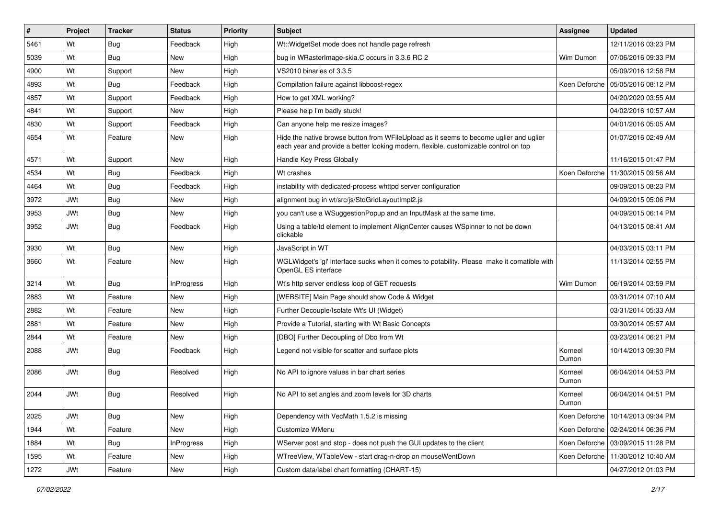| #    | Project    | <b>Tracker</b> | <b>Status</b>     | <b>Priority</b> | Subject                                                                                                                                                                        | <b>Assignee</b>  | <b>Updated</b>                      |
|------|------------|----------------|-------------------|-----------------|--------------------------------------------------------------------------------------------------------------------------------------------------------------------------------|------------------|-------------------------------------|
| 5461 | Wt         | Bug            | Feedback          | High            | Wt:: Widget Set mode does not handle page refresh                                                                                                                              |                  | 12/11/2016 03:23 PM                 |
| 5039 | Wt         | Bug            | <b>New</b>        | High            | bug in WRasterImage-skia.C occurs in 3.3.6 RC 2                                                                                                                                | Wim Dumon        | 07/06/2016 09:33 PM                 |
| 4900 | Wt         | Support        | New               | High            | VS2010 binaries of 3.3.5                                                                                                                                                       |                  | 05/09/2016 12:58 PM                 |
| 4893 | Wt         | Bug            | Feedback          | High            | Compilation failure against libboost-regex                                                                                                                                     |                  | Koen Deforche   05/05/2016 08:12 PM |
| 4857 | Wt         | Support        | Feedback          | High            | How to get XML working?                                                                                                                                                        |                  | 04/20/2020 03:55 AM                 |
| 4841 | Wt         | Support        | New               | High            | Please help I'm badly stuck!                                                                                                                                                   |                  | 04/02/2016 10:57 AM                 |
| 4830 | Wt         | Support        | Feedback          | High            | Can anyone help me resize images?                                                                                                                                              |                  | 04/01/2016 05:05 AM                 |
| 4654 | Wt         | Feature        | New               | High            | Hide the native browse button from WFileUpload as it seems to become uglier and uglier<br>each year and provide a better looking modern, flexible, customizable control on top |                  | 01/07/2016 02:49 AM                 |
| 4571 | Wt         | Support        | <b>New</b>        | High            | Handle Key Press Globally                                                                                                                                                      |                  | 11/16/2015 01:47 PM                 |
| 4534 | Wt         | <b>Bug</b>     | Feedback          | High            | Wt crashes                                                                                                                                                                     |                  | Koen Deforche   11/30/2015 09:56 AM |
| 4464 | Wt         | Bug            | Feedback          | High            | instability with dedicated-process whttpd server configuration                                                                                                                 |                  | 09/09/2015 08:23 PM                 |
| 3972 | JWt        | Bug            | <b>New</b>        | High            | alignment bug in wt/src/js/StdGridLayoutImpl2.js                                                                                                                               |                  | 04/09/2015 05:06 PM                 |
| 3953 | JWt        | Bug            | New               | High            | you can't use a WSuggestionPopup and an InputMask at the same time.                                                                                                            |                  | 04/09/2015 06:14 PM                 |
| 3952 | JWt        | Bug            | Feedback          | High            | Using a table/td element to implement AlignCenter causes WSpinner to not be down<br>clickable                                                                                  |                  | 04/13/2015 08:41 AM                 |
| 3930 | Wt         | Bug            | <b>New</b>        | High            | JavaScript in WT                                                                                                                                                               |                  | 04/03/2015 03:11 PM                 |
| 3660 | Wt         | Feature        | <b>New</b>        | High            | WGLWidget's 'gl' interface sucks when it comes to potability. Please make it comatible with<br>OpenGL ES interface                                                             |                  | 11/13/2014 02:55 PM                 |
| 3214 | Wt         | Bug            | <b>InProgress</b> | High            | Wt's http server endless loop of GET requests                                                                                                                                  | Wim Dumon        | 06/19/2014 03:59 PM                 |
| 2883 | Wt         | Feature        | <b>New</b>        | High            | [WEBSITE] Main Page should show Code & Widget                                                                                                                                  |                  | 03/31/2014 07:10 AM                 |
| 2882 | Wt         | Feature        | New               | High            | Further Decouple/Isolate Wt's UI (Widget)                                                                                                                                      |                  | 03/31/2014 05:33 AM                 |
| 2881 | Wt         | Feature        | New               | High            | Provide a Tutorial, starting with Wt Basic Concepts                                                                                                                            |                  | 03/30/2014 05:57 AM                 |
| 2844 | Wt         | Feature        | New               | High            | [DBO] Further Decoupling of Dbo from Wt                                                                                                                                        |                  | 03/23/2014 06:21 PM                 |
| 2088 | <b>JWt</b> | Bug            | Feedback          | High            | Legend not visible for scatter and surface plots                                                                                                                               | Korneel<br>Dumon | 10/14/2013 09:30 PM                 |
| 2086 | <b>JWt</b> | Bug            | Resolved          | High            | No API to ignore values in bar chart series                                                                                                                                    | Korneel<br>Dumon | 06/04/2014 04:53 PM                 |
| 2044 | <b>JWt</b> | <b>Bug</b>     | Resolved          | High            | No API to set angles and zoom levels for 3D charts                                                                                                                             | Korneel<br>Dumon | 06/04/2014 04:51 PM                 |
| 2025 | JWt        | Bug            | New               | High            | Dependency with VecMath 1.5.2 is missing                                                                                                                                       |                  | Koen Deforche   10/14/2013 09:34 PM |
| 1944 | Wt         | Feature        | New               | High            | Customize WMenu                                                                                                                                                                |                  | Koen Deforche   02/24/2014 06:36 PM |
| 1884 | Wt         | Bug            | <b>InProgress</b> | High            | WServer post and stop - does not push the GUI updates to the client                                                                                                            |                  | Koen Deforche   03/09/2015 11:28 PM |
| 1595 | Wt         | Feature        | New               | High            | WTreeView, WTableVew - start drag-n-drop on mouseWentDown                                                                                                                      |                  | Koen Deforche   11/30/2012 10:40 AM |
| 1272 | JWt        | Feature        | New               | High            | Custom data/label chart formatting (CHART-15)                                                                                                                                  |                  | 04/27/2012 01:03 PM                 |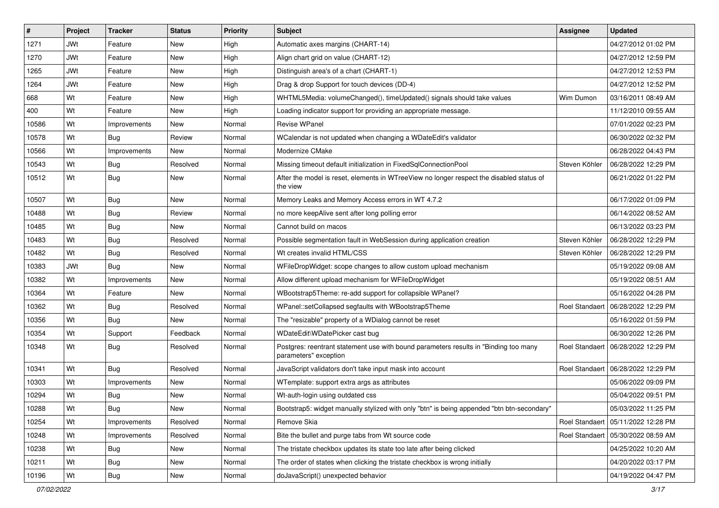| #     | Project    | <b>Tracker</b> | <b>Status</b> | <b>Priority</b> | Subject                                                                                                       | <b>Assignee</b>       | <b>Updated</b>                       |
|-------|------------|----------------|---------------|-----------------|---------------------------------------------------------------------------------------------------------------|-----------------------|--------------------------------------|
| 1271  | JWt        | Feature        | New           | High            | Automatic axes margins (CHART-14)                                                                             |                       | 04/27/2012 01:02 PM                  |
| 1270  | <b>JWt</b> | Feature        | <b>New</b>    | High            | Align chart grid on value (CHART-12)                                                                          |                       | 04/27/2012 12:59 PM                  |
| 1265  | <b>JWt</b> | Feature        | New           | High            | Distinguish area's of a chart (CHART-1)                                                                       |                       | 04/27/2012 12:53 PM                  |
| 1264  | <b>JWt</b> | Feature        | New           | High            | Drag & drop Support for touch devices (DD-4)                                                                  |                       | 04/27/2012 12:52 PM                  |
| 668   | Wt         | Feature        | <b>New</b>    | High            | WHTML5Media: volumeChanged(), timeUpdated() signals should take values                                        | Wim Dumon             | 03/16/2011 08:49 AM                  |
| 400   | Wt         | Feature        | New           | High            | Loading indicator support for providing an appropriate message.                                               |                       | 11/12/2010 09:55 AM                  |
| 10586 | Wt         | Improvements   | New           | Normal          | <b>Revise WPanel</b>                                                                                          |                       | 07/01/2022 02:23 PM                  |
| 10578 | Wt         | Bug            | Review        | Normal          | WCalendar is not updated when changing a WDateEdit's validator                                                |                       | 06/30/2022 02:32 PM                  |
| 10566 | Wt         | Improvements   | New           | Normal          | Modernize CMake                                                                                               |                       | 06/28/2022 04:43 PM                  |
| 10543 | Wt         | Bug            | Resolved      | Normal          | Missing timeout default initialization in FixedSqlConnectionPool                                              | Steven Köhler         | 06/28/2022 12:29 PM                  |
| 10512 | Wt         | Bug            | New           | Normal          | After the model is reset, elements in WTreeView no longer respect the disabled status of<br>the view          |                       | 06/21/2022 01:22 PM                  |
| 10507 | Wt         | Bug            | <b>New</b>    | Normal          | Memory Leaks and Memory Access errors in WT 4.7.2                                                             |                       | 06/17/2022 01:09 PM                  |
| 10488 | Wt         | Bug            | Review        | Normal          | no more keepAlive sent after long polling error                                                               |                       | 06/14/2022 08:52 AM                  |
| 10485 | Wt         | Bug            | New           | Normal          | Cannot build on macos                                                                                         |                       | 06/13/2022 03:23 PM                  |
| 10483 | Wt         | Bug            | Resolved      | Normal          | Possible segmentation fault in WebSession during application creation                                         | Steven Köhler         | 06/28/2022 12:29 PM                  |
| 10482 | Wt         | Bug            | Resolved      | Normal          | Wt creates invalid HTML/CSS                                                                                   | Steven Köhler         | 06/28/2022 12:29 PM                  |
| 10383 | <b>JWt</b> | Bug            | <b>New</b>    | Normal          | WFileDropWidget: scope changes to allow custom upload mechanism                                               |                       | 05/19/2022 09:08 AM                  |
| 10382 | Wt         | Improvements   | New           | Normal          | Allow different upload mechanism for WFileDropWidget                                                          |                       | 05/19/2022 08:51 AM                  |
| 10364 | Wt         | Feature        | New           | Normal          | WBootstrap5Theme: re-add support for collapsible WPanel?                                                      |                       | 05/16/2022 04:28 PM                  |
| 10362 | Wt         | Bug            | Resolved      | Normal          | WPanel::setCollapsed segfaults with WBootstrap5Theme                                                          | <b>Roel Standaert</b> | 06/28/2022 12:29 PM                  |
| 10356 | Wt         | Bug            | New           | Normal          | The "resizable" property of a WDialog cannot be reset                                                         |                       | 05/16/2022 01:59 PM                  |
| 10354 | Wt         | Support        | Feedback      | Normal          | WDateEdit\WDatePicker cast bug                                                                                |                       | 06/30/2022 12:26 PM                  |
| 10348 | Wt         | Bug            | Resolved      | Normal          | Postgres: reentrant statement use with bound parameters results in "Binding too many<br>parameters" exception |                       | Roel Standaert   06/28/2022 12:29 PM |
| 10341 | Wt         | Bug            | Resolved      | Normal          | JavaScript validators don't take input mask into account                                                      |                       | Roel Standaert 06/28/2022 12:29 PM   |
| 10303 | Wt         | Improvements   | New           | Normal          | WTemplate: support extra args as attributes                                                                   |                       | 05/06/2022 09:09 PM                  |
| 10294 | Wt         | Bug            | New           | Normal          | Wt-auth-login using outdated css                                                                              |                       | 05/04/2022 09:51 PM                  |
| 10288 | Wt         | Bug            | New           | Normal          | Bootstrap5: widget manually stylized with only "btn" is being appended "btn btn-secondary"                    |                       | 05/03/2022 11:25 PM                  |
| 10254 | Wt         | Improvements   | Resolved      | Normal          | Remove Skia                                                                                                   | Roel Standaert        | 05/11/2022 12:28 PM                  |
| 10248 | Wt         | Improvements   | Resolved      | Normal          | Bite the bullet and purge tabs from Wt source code                                                            | Roel Standaert        | 05/30/2022 08:59 AM                  |
| 10238 | Wt         | Bug            | New           | Normal          | The tristate checkbox updates its state too late after being clicked                                          |                       | 04/25/2022 10:20 AM                  |
| 10211 | Wt         | <b>Bug</b>     | New           | Normal          | The order of states when clicking the tristate checkbox is wrong initially                                    |                       | 04/20/2022 03:17 PM                  |
| 10196 | Wt         | <b>Bug</b>     | New           | Normal          | doJavaScript() unexpected behavior                                                                            |                       | 04/19/2022 04:47 PM                  |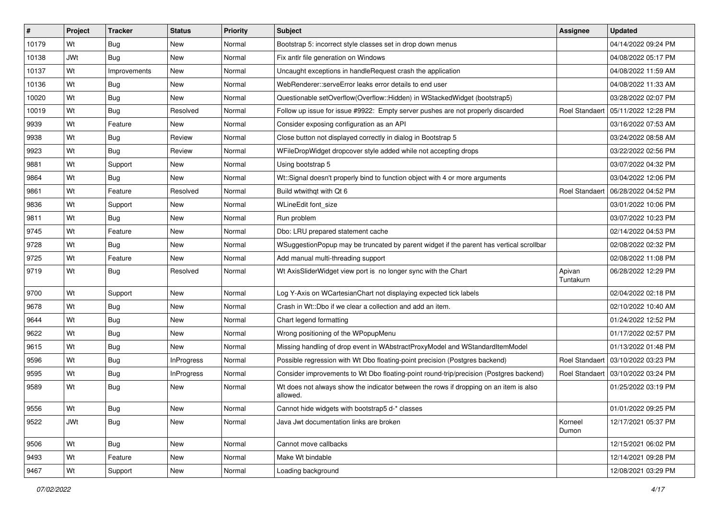| #     | Project    | <b>Tracker</b> | <b>Status</b>     | <b>Priority</b> | <b>Subject</b>                                                                                    | <b>Assignee</b>     | <b>Updated</b>      |
|-------|------------|----------------|-------------------|-----------------|---------------------------------------------------------------------------------------------------|---------------------|---------------------|
| 10179 | Wt         | <b>Bug</b>     | New               | Normal          | Bootstrap 5: incorrect style classes set in drop down menus                                       |                     | 04/14/2022 09:24 PM |
| 10138 | <b>JWt</b> | <b>Bug</b>     | <b>New</b>        | Normal          | Fix antlr file generation on Windows                                                              |                     | 04/08/2022 05:17 PM |
| 10137 | Wt         | Improvements   | New               | Normal          | Uncaught exceptions in handleRequest crash the application                                        |                     | 04/08/2022 11:59 AM |
| 10136 | Wt         | <b>Bug</b>     | New               | Normal          | WebRenderer::serveError leaks error details to end user                                           |                     | 04/08/2022 11:33 AM |
| 10020 | Wt         | <b>Bug</b>     | New               | Normal          | Questionable setOverflow(Overflow::Hidden) in WStackedWidget (bootstrap5)                         |                     | 03/28/2022 02:07 PM |
| 10019 | Wt         | Bug            | Resolved          | Normal          | Follow up issue for issue #9922: Empty server pushes are not properly discarded                   | Roel Standaert      | 05/11/2022 12:28 PM |
| 9939  | Wt         | Feature        | <b>New</b>        | Normal          | Consider exposing configuration as an API                                                         |                     | 03/16/2022 07:53 AM |
| 9938  | Wt         | <b>Bug</b>     | Review            | Normal          | Close button not displayed correctly in dialog in Bootstrap 5                                     |                     | 03/24/2022 08:58 AM |
| 9923  | Wt         | <b>Bug</b>     | Review            | Normal          | WFileDropWidget dropcover style added while not accepting drops                                   |                     | 03/22/2022 02:56 PM |
| 9881  | Wt         | Support        | <b>New</b>        | Normal          | Using bootstrap 5                                                                                 |                     | 03/07/2022 04:32 PM |
| 9864  | Wt         | Bug            | New               | Normal          | Wt::Signal doesn't properly bind to function object with 4 or more arguments                      |                     | 03/04/2022 12:06 PM |
| 9861  | Wt         | Feature        | Resolved          | Normal          | Build wtwithgt with Qt 6                                                                          | Roel Standaert      | 06/28/2022 04:52 PM |
| 9836  | Wt         | Support        | New               | Normal          | WLineEdit font_size                                                                               |                     | 03/01/2022 10:06 PM |
| 9811  | Wt         | <b>Bug</b>     | <b>New</b>        | Normal          | Run problem                                                                                       |                     | 03/07/2022 10:23 PM |
| 9745  | Wt         | Feature        | New               | Normal          | Dbo: LRU prepared statement cache                                                                 |                     | 02/14/2022 04:53 PM |
| 9728  | Wt         | <b>Bug</b>     | New               | Normal          | WSuggestionPopup may be truncated by parent widget if the parent has vertical scrollbar           |                     | 02/08/2022 02:32 PM |
| 9725  | Wt         | Feature        | New               | Normal          | Add manual multi-threading support                                                                |                     | 02/08/2022 11:08 PM |
| 9719  | Wt         | Bug            | Resolved          | Normal          | Wt AxisSliderWidget view port is no longer sync with the Chart                                    | Apivan<br>Tuntakurn | 06/28/2022 12:29 PM |
| 9700  | Wt         | Support        | <b>New</b>        | Normal          | Log Y-Axis on WCartesianChart not displaying expected tick labels                                 |                     | 02/04/2022 02:18 PM |
| 9678  | Wt         | <b>Bug</b>     | New               | Normal          | Crash in Wt::Dbo if we clear a collection and add an item.                                        |                     | 02/10/2022 10:40 AM |
| 9644  | Wt         | <b>Bug</b>     | <b>New</b>        | Normal          | Chart legend formatting                                                                           |                     | 01/24/2022 12:52 PM |
| 9622  | Wt         | <b>Bug</b>     | <b>New</b>        | Normal          | Wrong positioning of the WPopupMenu                                                               |                     | 01/17/2022 02:57 PM |
| 9615  | Wt         | <b>Bug</b>     | New               | Normal          | Missing handling of drop event in WAbstractProxyModel and WStandardItemModel                      |                     | 01/13/2022 01:48 PM |
| 9596  | Wt         | <b>Bug</b>     | <b>InProgress</b> | Normal          | Possible regression with Wt Dbo floating-point precision (Postgres backend)                       | Roel Standaert      | 03/10/2022 03:23 PM |
| 9595  | Wt         | <b>Bug</b>     | <b>InProgress</b> | Normal          | Consider improvements to Wt Dbo floating-point round-trip/precision (Postgres backend)            | Roel Standaert      | 03/10/2022 03:24 PM |
| 9589  | Wt         | <b>Bug</b>     | New               | Normal          | Wt does not always show the indicator between the rows if dropping on an item is also<br>allowed. |                     | 01/25/2022 03:19 PM |
| 9556  | Wt         | <b>Bug</b>     | New               | Normal          | Cannot hide widgets with bootstrap5 d-* classes                                                   |                     | 01/01/2022 09:25 PM |
| 9522  | <b>JWt</b> | <b>Bug</b>     | New               | Normal          | Java Jwt documentation links are broken                                                           | Korneel<br>Dumon    | 12/17/2021 05:37 PM |
| 9506  | Wt         | Bug            | New               | Normal          | Cannot move callbacks                                                                             |                     | 12/15/2021 06:02 PM |
| 9493  | Wt         | Feature        | New               | Normal          | Make Wt bindable                                                                                  |                     | 12/14/2021 09:28 PM |
| 9467  | Wt         | Support        | New               | Normal          | Loading background                                                                                |                     | 12/08/2021 03:29 PM |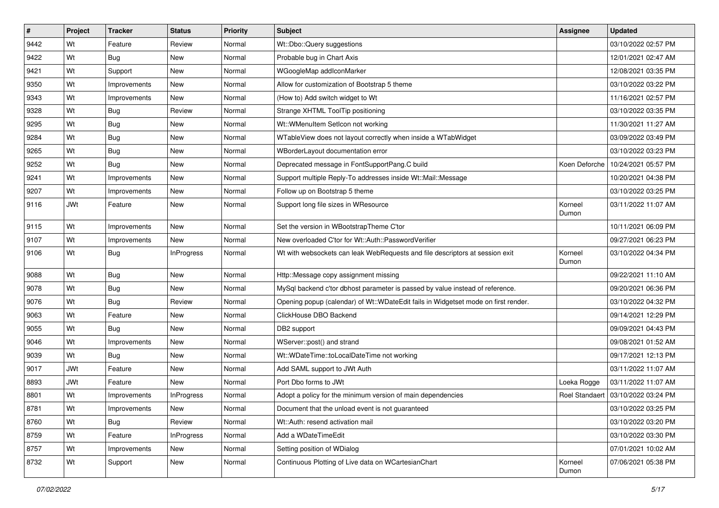| #    | Project    | <b>Tracker</b> | <b>Status</b>     | Priority | Subject                                                                            | <b>Assignee</b>  | <b>Updated</b>                       |
|------|------------|----------------|-------------------|----------|------------------------------------------------------------------------------------|------------------|--------------------------------------|
| 9442 | Wt         | Feature        | Review            | Normal   | Wt::Dbo::Query suggestions                                                         |                  | 03/10/2022 02:57 PM                  |
| 9422 | Wt         | Bug            | New               | Normal   | Probable bug in Chart Axis                                                         |                  | 12/01/2021 02:47 AM                  |
| 9421 | Wt         | Support        | New               | Normal   | WGoogleMap addlconMarker                                                           |                  | 12/08/2021 03:35 PM                  |
| 9350 | Wt         | Improvements   | New               | Normal   | Allow for customization of Bootstrap 5 theme                                       |                  | 03/10/2022 03:22 PM                  |
| 9343 | Wt         | Improvements   | New               | Normal   | (How to) Add switch widget to Wt                                                   |                  | 11/16/2021 02:57 PM                  |
| 9328 | Wt         | <b>Bug</b>     | Review            | Normal   | Strange XHTML ToolTip positioning                                                  |                  | 03/10/2022 03:35 PM                  |
| 9295 | Wt         | Bug            | New               | Normal   | Wt::WMenuItem SetIcon not working                                                  |                  | 11/30/2021 11:27 AM                  |
| 9284 | Wt         | Bug            | New               | Normal   | WTableView does not layout correctly when inside a WTabWidget                      |                  | 03/09/2022 03:49 PM                  |
| 9265 | Wt         | Bug            | New               | Normal   | WBorderLayout documentation error                                                  |                  | 03/10/2022 03:23 PM                  |
| 9252 | Wt         | Bug            | New               | Normal   | Deprecated message in FontSupportPang.C build                                      | Koen Deforche    | 10/24/2021 05:57 PM                  |
| 9241 | Wt         | Improvements   | New               | Normal   | Support multiple Reply-To addresses inside Wt::Mail::Message                       |                  | 10/20/2021 04:38 PM                  |
| 9207 | Wt         | Improvements   | New               | Normal   | Follow up on Bootstrap 5 theme                                                     |                  | 03/10/2022 03:25 PM                  |
| 9116 | <b>JWt</b> | Feature        | New               | Normal   | Support long file sizes in WResource                                               | Korneel<br>Dumon | 03/11/2022 11:07 AM                  |
| 9115 | Wt         | Improvements   | New               | Normal   | Set the version in WBootstrapTheme C'tor                                           |                  | 10/11/2021 06:09 PM                  |
| 9107 | Wt         | Improvements   | New               | Normal   | New overloaded C'tor for Wt::Auth::PasswordVerifier                                |                  | 09/27/2021 06:23 PM                  |
| 9106 | Wt         | Bug            | <b>InProgress</b> | Normal   | Wt with websockets can leak WebRequests and file descriptors at session exit       | Korneel<br>Dumon | 03/10/2022 04:34 PM                  |
| 9088 | Wt         | Bug            | New               | Normal   | Http::Message copy assignment missing                                              |                  | 09/22/2021 11:10 AM                  |
| 9078 | Wt         | Bug            | New               | Normal   | MySql backend c'tor dbhost parameter is passed by value instead of reference.      |                  | 09/20/2021 06:36 PM                  |
| 9076 | Wt         | Bug            | Review            | Normal   | Opening popup (calendar) of Wt::WDateEdit fails in Widgetset mode on first render. |                  | 03/10/2022 04:32 PM                  |
| 9063 | Wt         | Feature        | New               | Normal   | ClickHouse DBO Backend                                                             |                  | 09/14/2021 12:29 PM                  |
| 9055 | Wt         | Bug            | <b>New</b>        | Normal   | DB2 support                                                                        |                  | 09/09/2021 04:43 PM                  |
| 9046 | Wt         | Improvements   | New               | Normal   | WServer::post() and strand                                                         |                  | 09/08/2021 01:52 AM                  |
| 9039 | Wt         | Bug            | New               | Normal   | Wt::WDateTime::toLocalDateTime not working                                         |                  | 09/17/2021 12:13 PM                  |
| 9017 | <b>JWt</b> | Feature        | New               | Normal   | Add SAML support to JWt Auth                                                       |                  | 03/11/2022 11:07 AM                  |
| 8893 | JWt        | Feature        | New               | Normal   | Port Dbo forms to JWt                                                              | Loeka Rogge      | 03/11/2022 11:07 AM                  |
| 8801 | Wt         | Improvements   | <b>InProgress</b> | Normal   | Adopt a policy for the minimum version of main dependencies                        |                  | Roel Standaert   03/10/2022 03:24 PM |
| 8781 | Wt         | Improvements   | New               | Normal   | Document that the unload event is not guaranteed                                   |                  | 03/10/2022 03:25 PM                  |
| 8760 | Wt         | Bug            | Review            | Normal   | Wt::Auth: resend activation mail                                                   |                  | 03/10/2022 03:20 PM                  |
| 8759 | Wt         | Feature        | <b>InProgress</b> | Normal   | Add a WDateTimeEdit                                                                |                  | 03/10/2022 03:30 PM                  |
| 8757 | Wt         | Improvements   | New               | Normal   | Setting position of WDialog                                                        |                  | 07/01/2021 10:02 AM                  |
| 8732 | Wt         | Support        | New               | Normal   | Continuous Plotting of Live data on WCartesianChart                                | Korneel<br>Dumon | 07/06/2021 05:38 PM                  |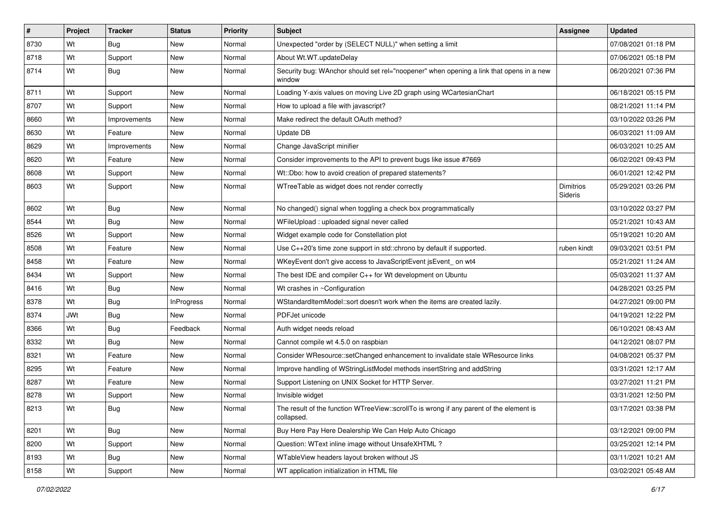| $\vert$ # | Project    | <b>Tracker</b> | <b>Status</b>     | <b>Priority</b> | Subject                                                                                               | <b>Assignee</b>             | <b>Updated</b>      |
|-----------|------------|----------------|-------------------|-----------------|-------------------------------------------------------------------------------------------------------|-----------------------------|---------------------|
| 8730      | Wt         | Bug            | New               | Normal          | Unexpected "order by (SELECT NULL)" when setting a limit                                              |                             | 07/08/2021 01:18 PM |
| 8718      | Wt         | Support        | New               | Normal          | About Wt.WT.updateDelay                                                                               |                             | 07/06/2021 05:18 PM |
| 8714      | Wt         | Bug            | New               | Normal          | Security bug: WAnchor should set rel="noopener" when opening a link that opens in a new<br>window     |                             | 06/20/2021 07:36 PM |
| 8711      | Wt         | Support        | New               | Normal          | Loading Y-axis values on moving Live 2D graph using WCartesianChart                                   |                             | 06/18/2021 05:15 PM |
| 8707      | Wt         | Support        | New               | Normal          | How to upload a file with javascript?                                                                 |                             | 08/21/2021 11:14 PM |
| 8660      | Wt         | Improvements   | New               | Normal          | Make redirect the default OAuth method?                                                               |                             | 03/10/2022 03:26 PM |
| 8630      | Wt         | Feature        | New               | Normal          | Update DB                                                                                             |                             | 06/03/2021 11:09 AM |
| 8629      | Wt         | Improvements   | New               | Normal          | Change JavaScript minifier                                                                            |                             | 06/03/2021 10:25 AM |
| 8620      | Wt         | Feature        | <b>New</b>        | Normal          | Consider improvements to the API to prevent bugs like issue #7669                                     |                             | 06/02/2021 09:43 PM |
| 8608      | Wt         | Support        | New               | Normal          | Wt::Dbo: how to avoid creation of prepared statements?                                                |                             | 06/01/2021 12:42 PM |
| 8603      | Wt         | Support        | New               | Normal          | WTreeTable as widget does not render correctly                                                        | <b>Dimitrios</b><br>Sideris | 05/29/2021 03:26 PM |
| 8602      | Wt         | Bug            | New               | Normal          | No changed() signal when toggling a check box programmatically                                        |                             | 03/10/2022 03:27 PM |
| 8544      | Wt         | Bug            | New               | Normal          | WFileUpload: uploaded signal never called                                                             |                             | 05/21/2021 10:43 AM |
| 8526      | Wt         | Support        | New               | Normal          | Widget example code for Constellation plot                                                            |                             | 05/19/2021 10:20 AM |
| 8508      | Wt         | Feature        | New               | Normal          | Use C++20's time zone support in std::chrono by default if supported.                                 | ruben kindt                 | 09/03/2021 03:51 PM |
| 8458      | Wt         | Feature        | New               | Normal          | WKeyEvent don't give access to JavaScriptEvent jsEvent on wt4                                         |                             | 05/21/2021 11:24 AM |
| 8434      | Wt         | Support        | New               | Normal          | The best IDE and compiler C++ for Wt development on Ubuntu                                            |                             | 05/03/2021 11:37 AM |
| 8416      | Wt         | Bug            | New               | Normal          | Wt crashes in ~Configuration                                                                          |                             | 04/28/2021 03:25 PM |
| 8378      | Wt         | Bug            | <b>InProgress</b> | Normal          | WStandardItemModel::sort doesn't work when the items are created lazily.                              |                             | 04/27/2021 09:00 PM |
| 8374      | <b>JWt</b> | Bug            | New               | Normal          | PDFJet unicode                                                                                        |                             | 04/19/2021 12:22 PM |
| 8366      | Wt         | Bug            | Feedback          | Normal          | Auth widget needs reload                                                                              |                             | 06/10/2021 08:43 AM |
| 8332      | Wt         | Bug            | New               | Normal          | Cannot compile wt 4.5.0 on raspbian                                                                   |                             | 04/12/2021 08:07 PM |
| 8321      | Wt         | Feature        | New               | Normal          | Consider WResource::setChanged enhancement to invalidate stale WResource links                        |                             | 04/08/2021 05:37 PM |
| 8295      | Wt         | Feature        | New               | Normal          | Improve handling of WStringListModel methods insertString and addString                               |                             | 03/31/2021 12:17 AM |
| 8287      | Wt         | Feature        | New               | Normal          | Support Listening on UNIX Socket for HTTP Server.                                                     |                             | 03/27/2021 11:21 PM |
| 8278      | Wt         | Support        | New               | Normal          | Invisible widget                                                                                      |                             | 03/31/2021 12:50 PM |
| 8213      | Wt         | <b>Bug</b>     | New               | Normal          | The result of the function WTreeView::scrollTo is wrong if any parent of the element is<br>collapsed. |                             | 03/17/2021 03:38 PM |
| 8201      | Wt         | Bug            | New               | Normal          | Buy Here Pay Here Dealership We Can Help Auto Chicago                                                 |                             | 03/12/2021 09:00 PM |
| 8200      | Wt         | Support        | New               | Normal          | Question: WText inline image without UnsafeXHTML?                                                     |                             | 03/25/2021 12:14 PM |
| 8193      | Wt         | <b>Bug</b>     | New               | Normal          | WTableView headers layout broken without JS                                                           |                             | 03/11/2021 10:21 AM |
| 8158      | Wt         | Support        | New               | Normal          | WT application initialization in HTML file                                                            |                             | 03/02/2021 05:48 AM |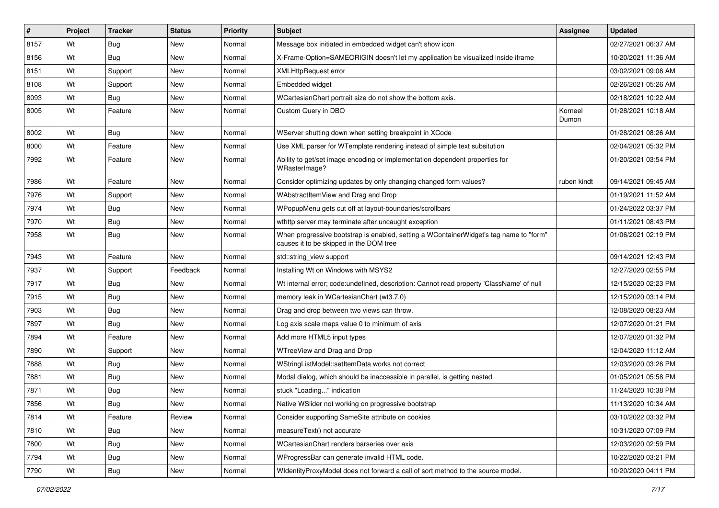| #    | Project | <b>Tracker</b> | <b>Status</b> | Priority | <b>Subject</b>                                                                                                                    | <b>Assignee</b>  | <b>Updated</b>      |
|------|---------|----------------|---------------|----------|-----------------------------------------------------------------------------------------------------------------------------------|------------------|---------------------|
| 8157 | Wt      | Bug            | New           | Normal   | Message box initiated in embedded widget can't show icon                                                                          |                  | 02/27/2021 06:37 AM |
| 8156 | Wt      | Bug            | New           | Normal   | X-Frame-Option=SAMEORIGIN doesn't let my application be visualized inside iframe                                                  |                  | 10/20/2021 11:36 AM |
| 8151 | Wt      | Support        | New           | Normal   | <b>XMLHttpRequest error</b>                                                                                                       |                  | 03/02/2021 09:06 AM |
| 8108 | Wt      | Support        | New           | Normal   | Embedded widget                                                                                                                   |                  | 02/26/2021 05:26 AM |
| 8093 | Wt      | Bug            | <b>New</b>    | Normal   | WCartesianChart portrait size do not show the bottom axis.                                                                        |                  | 02/18/2021 10:22 AM |
| 8005 | Wt      | Feature        | New           | Normal   | Custom Query in DBO                                                                                                               | Korneel<br>Dumon | 01/28/2021 10:18 AM |
| 8002 | Wt      | Bug            | <b>New</b>    | Normal   | WServer shutting down when setting breakpoint in XCode                                                                            |                  | 01/28/2021 08:26 AM |
| 8000 | Wt      | Feature        | New           | Normal   | Use XML parser for WTemplate rendering instead of simple text subsitution                                                         |                  | 02/04/2021 05:32 PM |
| 7992 | Wt      | Feature        | New           | Normal   | Ability to get/set image encoding or implementation dependent properties for<br>WRasterImage?                                     |                  | 01/20/2021 03:54 PM |
| 7986 | Wt      | Feature        | New           | Normal   | Consider optimizing updates by only changing changed form values?                                                                 | ruben kindt      | 09/14/2021 09:45 AM |
| 7976 | Wt      | Support        | New           | Normal   | WAbstractItemView and Drag and Drop                                                                                               |                  | 01/19/2021 11:52 AM |
| 7974 | Wt      | Bug            | New           | Normal   | WPopupMenu gets cut off at layout-boundaries/scrollbars                                                                           |                  | 01/24/2022 03:37 PM |
| 7970 | Wt      | Bug            | New           | Normal   | wthttp server may terminate after uncaught exception                                                                              |                  | 01/11/2021 08:43 PM |
| 7958 | Wt      | Bug            | New           | Normal   | When progressive bootstrap is enabled, setting a WContainerWidget's tag name to "form"<br>causes it to be skipped in the DOM tree |                  | 01/06/2021 02:19 PM |
| 7943 | Wt      | Feature        | New           | Normal   | std::string_view support                                                                                                          |                  | 09/14/2021 12:43 PM |
| 7937 | Wt      | Support        | Feedback      | Normal   | Installing Wt on Windows with MSYS2                                                                                               |                  | 12/27/2020 02:55 PM |
| 7917 | Wt      | Bug            | New           | Normal   | Wt internal error; code: undefined, description: Cannot read property 'ClassName' of null                                         |                  | 12/15/2020 02:23 PM |
| 7915 | Wt      | Bug            | <b>New</b>    | Normal   | memory leak in WCartesianChart (wt3.7.0)                                                                                          |                  | 12/15/2020 03:14 PM |
| 7903 | Wt      | Bug            | New           | Normal   | Drag and drop between two views can throw.                                                                                        |                  | 12/08/2020 08:23 AM |
| 7897 | Wt      | Bug            | New           | Normal   | Log axis scale maps value 0 to minimum of axis                                                                                    |                  | 12/07/2020 01:21 PM |
| 7894 | Wt      | Feature        | New           | Normal   | Add more HTML5 input types                                                                                                        |                  | 12/07/2020 01:32 PM |
| 7890 | Wt      | Support        | New           | Normal   | WTreeView and Drag and Drop                                                                                                       |                  | 12/04/2020 11:12 AM |
| 7888 | Wt      | Bug            | New           | Normal   | WStringListModel::setItemData works not correct                                                                                   |                  | 12/03/2020 03:26 PM |
| 7881 | Wt      | Bug            | New           | Normal   | Modal dialog, which should be inaccessible in parallel, is getting nested                                                         |                  | 01/05/2021 05:58 PM |
| 7871 | Wt      | Bug            | New           | Normal   | stuck "Loading" indication                                                                                                        |                  | 11/24/2020 10:38 PM |
| 7856 | Wt      | Bug            | New           | Normal   | Native WSlider not working on progressive bootstrap                                                                               |                  | 11/13/2020 10:34 AM |
| 7814 | Wt      | Feature        | Review        | Normal   | Consider supporting SameSite attribute on cookies                                                                                 |                  | 03/10/2022 03:32 PM |
| 7810 | Wt      | Bug            | New           | Normal   | measureText() not accurate                                                                                                        |                  | 10/31/2020 07:09 PM |
| 7800 | Wt      | <b>Bug</b>     | New           | Normal   | WCartesianChart renders barseries over axis                                                                                       |                  | 12/03/2020 02:59 PM |
| 7794 | Wt      | <b>Bug</b>     | New           | Normal   | WProgressBar can generate invalid HTML code.                                                                                      |                  | 10/22/2020 03:21 PM |
| 7790 | Wt      | Bug            | New           | Normal   | WidentityProxyModel does not forward a call of sort method to the source model.                                                   |                  | 10/20/2020 04:11 PM |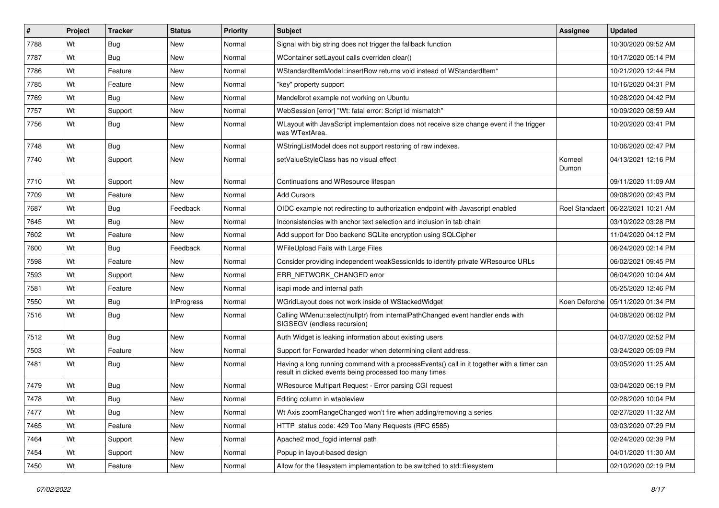| #    | Project | <b>Tracker</b> | <b>Status</b>     | Priority | Subject                                                                                                                                              | Assignee         | <b>Updated</b>      |
|------|---------|----------------|-------------------|----------|------------------------------------------------------------------------------------------------------------------------------------------------------|------------------|---------------------|
| 7788 | Wt      | Bug            | New               | Normal   | Signal with big string does not trigger the fallback function                                                                                        |                  | 10/30/2020 09:52 AM |
| 7787 | Wt      | <b>Bug</b>     | New               | Normal   | WContainer setLayout calls overriden clear()                                                                                                         |                  | 10/17/2020 05:14 PM |
| 7786 | Wt      | Feature        | New               | Normal   | WStandardItemModel::insertRow returns void instead of WStandardItem*                                                                                 |                  | 10/21/2020 12:44 PM |
| 7785 | Wt      | Feature        | New               | Normal   | "key" property support                                                                                                                               |                  | 10/16/2020 04:31 PM |
| 7769 | Wt      | Bug            | New               | Normal   | Mandelbrot example not working on Ubuntu                                                                                                             |                  | 10/28/2020 04:42 PM |
| 7757 | Wt      | Support        | New               | Normal   | WebSession [error] "Wt: fatal error: Script id mismatch"                                                                                             |                  | 10/09/2020 08:59 AM |
| 7756 | Wt      | <b>Bug</b>     | New               | Normal   | WLayout with JavaScript implementaion does not receive size change event if the trigger<br>was WTextArea.                                            |                  | 10/20/2020 03:41 PM |
| 7748 | Wt      | Bug            | New               | Normal   | WStringListModel does not support restoring of raw indexes.                                                                                          |                  | 10/06/2020 02:47 PM |
| 7740 | Wt      | Support        | New               | Normal   | setValueStyleClass has no visual effect                                                                                                              | Korneel<br>Dumon | 04/13/2021 12:16 PM |
| 7710 | Wt      | Support        | New               | Normal   | Continuations and WResource lifespan                                                                                                                 |                  | 09/11/2020 11:09 AM |
| 7709 | Wt      | Feature        | New               | Normal   | <b>Add Cursors</b>                                                                                                                                   |                  | 09/08/2020 02:43 PM |
| 7687 | Wt      | <b>Bug</b>     | Feedback          | Normal   | OIDC example not redirecting to authorization endpoint with Javascript enabled                                                                       | Roel Standaer    | 06/22/2021 10:21 AM |
| 7645 | Wt      | <b>Bug</b>     | New               | Normal   | Inconsistencies with anchor text selection and inclusion in tab chain                                                                                |                  | 03/10/2022 03:28 PM |
| 7602 | Wt      | Feature        | New               | Normal   | Add support for Dbo backend SQLite encryption using SQLCipher                                                                                        |                  | 11/04/2020 04:12 PM |
| 7600 | Wt      | Bug            | Feedback          | Normal   | WFileUpload Fails with Large Files                                                                                                                   |                  | 06/24/2020 02:14 PM |
| 7598 | Wt      | Feature        | <b>New</b>        | Normal   | Consider providing independent weakSessionIds to identify private WResource URLs                                                                     |                  | 06/02/2021 09:45 PM |
| 7593 | Wt      | Support        | New               | Normal   | ERR_NETWORK_CHANGED error                                                                                                                            |                  | 06/04/2020 10:04 AM |
| 7581 | Wt      | Feature        | New               | Normal   | isapi mode and internal path                                                                                                                         |                  | 05/25/2020 12:46 PM |
| 7550 | Wt      | <b>Bug</b>     | <b>InProgress</b> | Normal   | WGridLayout does not work inside of WStackedWidget                                                                                                   | Koen Deforche    | 05/11/2020 01:34 PM |
| 7516 | Wt      | <b>Bug</b>     | New               | Normal   | Calling WMenu::select(nullptr) from internalPathChanged event handler ends with<br>SIGSEGV (endless recursion)                                       |                  | 04/08/2020 06:02 PM |
| 7512 | Wt      | Bug            | New               | Normal   | Auth Widget is leaking information about existing users                                                                                              |                  | 04/07/2020 02:52 PM |
| 7503 | Wt      | Feature        | New               | Normal   | Support for Forwarded header when determining client address.                                                                                        |                  | 03/24/2020 05:09 PM |
| 7481 | Wt      | <b>Bug</b>     | New               | Normal   | Having a long running command with a processEvents() call in it together with a timer can<br>result in clicked events being processed too many times |                  | 03/05/2020 11:25 AM |
| 7479 | Wt      | <b>Bug</b>     | New               | Normal   | WResource Multipart Request - Error parsing CGI request                                                                                              |                  | 03/04/2020 06:19 PM |
| 7478 | Wt      | Bug            | New               | Normal   | Editing column in wtableview                                                                                                                         |                  | 02/28/2020 10:04 PM |
| 7477 | Wt      | <b>Bug</b>     | New               | Normal   | Wt Axis zoomRangeChanged won't fire when adding/removing a series                                                                                    |                  | 02/27/2020 11:32 AM |
| 7465 | Wt      | Feature        | New               | Normal   | HTTP status code: 429 Too Many Requests (RFC 6585)                                                                                                   |                  | 03/03/2020 07:29 PM |
| 7464 | Wt      | Support        | New               | Normal   | Apache2 mod fcgid internal path                                                                                                                      |                  | 02/24/2020 02:39 PM |
| 7454 | Wt      | Support        | New               | Normal   | Popup in layout-based design                                                                                                                         |                  | 04/01/2020 11:30 AM |
| 7450 | Wt      | Feature        | New               | Normal   | Allow for the filesystem implementation to be switched to std::filesystem                                                                            |                  | 02/10/2020 02:19 PM |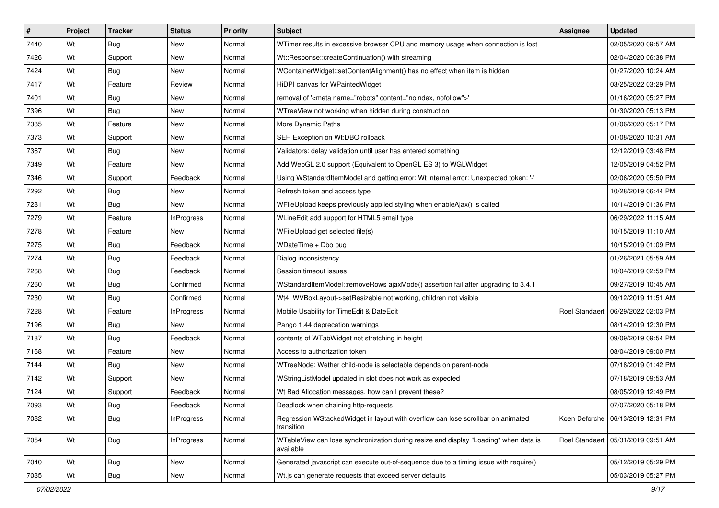| #    | Project | <b>Tracker</b> | <b>Status</b>     | <b>Priority</b> | <b>Subject</b>                                                                                    | <b>Assignee</b>       | <b>Updated</b>                       |
|------|---------|----------------|-------------------|-----------------|---------------------------------------------------------------------------------------------------|-----------------------|--------------------------------------|
| 7440 | Wt      | <b>Bug</b>     | New               | Normal          | WTimer results in excessive browser CPU and memory usage when connection is lost                  |                       | 02/05/2020 09:57 AM                  |
| 7426 | Wt      | Support        | New               | Normal          | Wt::Response::createContinuation() with streaming                                                 |                       | 02/04/2020 06:38 PM                  |
| 7424 | Wt      | <b>Bug</b>     | <b>New</b>        | Normal          | WContainerWidget::setContentAlignment() has no effect when item is hidden                         |                       | 01/27/2020 10:24 AM                  |
| 7417 | Wt      | Feature        | Review            | Normal          | HiDPI canvas for WPaintedWidget                                                                   |                       | 03/25/2022 03:29 PM                  |
| 7401 | Wt      | <b>Bug</b>     | <b>New</b>        | Normal          | removal of ' <meta content="noindex, nofollow" name="robots"/> '                                  |                       | 01/16/2020 05:27 PM                  |
| 7396 | Wt      | Bug            | New               | Normal          | WTreeView not working when hidden during construction                                             |                       | 01/30/2020 05:13 PM                  |
| 7385 | Wt      | Feature        | <b>New</b>        | Normal          | More Dynamic Paths                                                                                |                       | 01/06/2020 05:17 PM                  |
| 7373 | Wt      | Support        | <b>New</b>        | Normal          | SEH Exception on Wt:DBO rollback                                                                  |                       | 01/08/2020 10:31 AM                  |
| 7367 | Wt      | <b>Bug</b>     | New               | Normal          | Validators: delay validation until user has entered something                                     |                       | 12/12/2019 03:48 PM                  |
| 7349 | Wt      | Feature        | New               | Normal          | Add WebGL 2.0 support (Equivalent to OpenGL ES 3) to WGLWidget                                    |                       | 12/05/2019 04:52 PM                  |
| 7346 | Wt      | Support        | Feedback          | Normal          | Using WStandardItemModel and getting error: Wt internal error: Unexpected token: '-'              |                       | 02/06/2020 05:50 PM                  |
| 7292 | Wt      | <b>Bug</b>     | <b>New</b>        | Normal          | Refresh token and access type                                                                     |                       | 10/28/2019 06:44 PM                  |
| 7281 | Wt      | <b>Bug</b>     | New               | Normal          | WFileUpload keeps previously applied styling when enableAjax() is called                          |                       | 10/14/2019 01:36 PM                  |
| 7279 | Wt      | Feature        | <b>InProgress</b> | Normal          | WLineEdit add support for HTML5 email type                                                        |                       | 06/29/2022 11:15 AM                  |
| 7278 | Wt      | Feature        | New               | Normal          | WFileUpload get selected file(s)                                                                  |                       | 10/15/2019 11:10 AM                  |
| 7275 | Wt      | <b>Bug</b>     | Feedback          | Normal          | WDateTime + Dbo bug                                                                               |                       | 10/15/2019 01:09 PM                  |
| 7274 | Wt      | <b>Bug</b>     | Feedback          | Normal          | Dialog inconsistency                                                                              |                       | 01/26/2021 05:59 AM                  |
| 7268 | Wt      | <b>Bug</b>     | Feedback          | Normal          | Session timeout issues                                                                            |                       | 10/04/2019 02:59 PM                  |
| 7260 | Wt      | <b>Bug</b>     | Confirmed         | Normal          | WStandardItemModel::removeRows ajaxMode() assertion fail after upgrading to 3.4.1                 |                       | 09/27/2019 10:45 AM                  |
| 7230 | Wt      | <b>Bug</b>     | Confirmed         | Normal          | Wt4, WVBoxLayout->setResizable not working, children not visible                                  |                       | 09/12/2019 11:51 AM                  |
| 7228 | Wt      | Feature        | InProgress        | Normal          | Mobile Usability for TimeEdit & DateEdit                                                          | <b>Roel Standaert</b> | 06/29/2022 02:03 PM                  |
| 7196 | Wt      | <b>Bug</b>     | New               | Normal          | Pango 1.44 deprecation warnings                                                                   |                       | 08/14/2019 12:30 PM                  |
| 7187 | Wt      | <b>Bug</b>     | Feedback          | Normal          | contents of WTabWidget not stretching in height                                                   |                       | 09/09/2019 09:54 PM                  |
| 7168 | Wt      | Feature        | New               | Normal          | Access to authorization token                                                                     |                       | 08/04/2019 09:00 PM                  |
| 7144 | Wt      | <b>Bug</b>     | New               | Normal          | WTreeNode: Wether child-node is selectable depends on parent-node                                 |                       | 07/18/2019 01:42 PM                  |
| 7142 | Wt      | Support        | New               | Normal          | WStringListModel updated in slot does not work as expected                                        |                       | 07/18/2019 09:53 AM                  |
| 7124 | Wt      | Support        | Feedback          | Normal          | Wt Bad Allocation messages, how can I prevent these?                                              |                       | 08/05/2019 12:49 PM                  |
| 7093 | Wt      | Bug            | Feedback          | Normal          | Deadlock when chaining http-requests                                                              |                       | 07/07/2020 05:18 PM                  |
| 7082 | Wt      | <b>Bug</b>     | <b>InProgress</b> | Normal          | Regression WStackedWidget in layout with overflow can lose scrollbar on animated<br>transition    |                       | Koen Deforche   06/13/2019 12:31 PM  |
| 7054 | Wt      | Bug            | InProgress        | Normal          | WTableView can lose synchronization during resize and display "Loading" when data is<br>available |                       | Roel Standaert   05/31/2019 09:51 AM |
| 7040 | Wt      | <b>Bug</b>     | New               | Normal          | Generated javascript can execute out-of-sequence due to a timing issue with require()             |                       | 05/12/2019 05:29 PM                  |
| 7035 | Wt      | <b>Bug</b>     | New               | Normal          | Wt.js can generate requests that exceed server defaults                                           |                       | 05/03/2019 05:27 PM                  |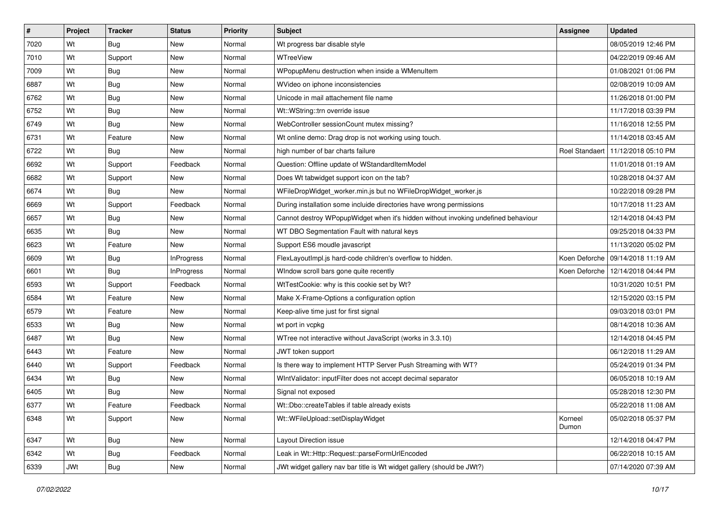| #    | Project | <b>Tracker</b> | <b>Status</b>     | <b>Priority</b> | <b>Subject</b>                                                                    | <b>Assignee</b>  | <b>Updated</b>                       |
|------|---------|----------------|-------------------|-----------------|-----------------------------------------------------------------------------------|------------------|--------------------------------------|
| 7020 | Wt      | Bug            | New               | Normal          | Wt progress bar disable style                                                     |                  | 08/05/2019 12:46 PM                  |
| 7010 | Wt      | Support        | <b>New</b>        | Normal          | WTreeView                                                                         |                  | 04/22/2019 09:46 AM                  |
| 7009 | Wt      | Bug            | New               | Normal          | WPopupMenu destruction when inside a WMenuItem                                    |                  | 01/08/2021 01:06 PM                  |
| 6887 | Wt      | <b>Bug</b>     | New               | Normal          | WVideo on iphone inconsistencies                                                  |                  | 02/08/2019 10:09 AM                  |
| 6762 | Wt      | Bug            | New               | Normal          | Unicode in mail attachement file name                                             |                  | 11/26/2018 01:00 PM                  |
| 6752 | Wt      | <b>Bug</b>     | New               | Normal          | Wt::WString::trn override issue                                                   |                  | 11/17/2018 03:39 PM                  |
| 6749 | Wt      | <b>Bug</b>     | New               | Normal          | WebController sessionCount mutex missing?                                         |                  | 11/16/2018 12:55 PM                  |
| 6731 | Wt      | Feature        | New               | Normal          | Wt online demo: Drag drop is not working using touch.                             |                  | 11/14/2018 03:45 AM                  |
| 6722 | Wt      | Bug            | New               | Normal          | high number of bar charts failure                                                 |                  | Roel Standaert   11/12/2018 05:10 PM |
| 6692 | Wt      | Support        | Feedback          | Normal          | Question: Offline update of WStandardItemModel                                    |                  | 11/01/2018 01:19 AM                  |
| 6682 | Wt      | Support        | New               | Normal          | Does Wt tabwidget support icon on the tab?                                        |                  | 10/28/2018 04:37 AM                  |
| 6674 | Wt      | Bug            | New               | Normal          | WFileDropWidget_worker.min.js but no WFileDropWidget_worker.js                    |                  | 10/22/2018 09:28 PM                  |
| 6669 | Wt      | Support        | Feedback          | Normal          | During installation some incluide directories have wrong permissions              |                  | 10/17/2018 11:23 AM                  |
| 6657 | Wt      | Bug            | New               | Normal          | Cannot destroy WPopupWidget when it's hidden without invoking undefined behaviour |                  | 12/14/2018 04:43 PM                  |
| 6635 | Wt      | Bug            | New               | Normal          | WT DBO Segmentation Fault with natural keys                                       |                  | 09/25/2018 04:33 PM                  |
| 6623 | Wt      | Feature        | New               | Normal          | Support ES6 moudle javascript                                                     |                  | 11/13/2020 05:02 PM                  |
| 6609 | Wt      | <b>Bug</b>     | <b>InProgress</b> | Normal          | FlexLayoutImpl.js hard-code children's overflow to hidden.                        |                  | Koen Deforche   09/14/2018 11:19 AM  |
| 6601 | Wt      | Bug            | <b>InProgress</b> | Normal          | WIndow scroll bars gone quite recently                                            |                  | Koen Deforche   12/14/2018 04:44 PM  |
| 6593 | Wt      | Support        | Feedback          | Normal          | WtTestCookie: why is this cookie set by Wt?                                       |                  | 10/31/2020 10:51 PM                  |
| 6584 | Wt      | Feature        | <b>New</b>        | Normal          | Make X-Frame-Options a configuration option                                       |                  | 12/15/2020 03:15 PM                  |
| 6579 | Wt      | Feature        | New               | Normal          | Keep-alive time just for first signal                                             |                  | 09/03/2018 03:01 PM                  |
| 6533 | Wt      | <b>Bug</b>     | New               | Normal          | wt port in vcpkg                                                                  |                  | 08/14/2018 10:36 AM                  |
| 6487 | Wt      | Bug            | New               | Normal          | WTree not interactive without JavaScript (works in 3.3.10)                        |                  | 12/14/2018 04:45 PM                  |
| 6443 | Wt      | Feature        | New               | Normal          | JWT token support                                                                 |                  | 06/12/2018 11:29 AM                  |
| 6440 | Wt      | Support        | Feedback          | Normal          | Is there way to implement HTTP Server Push Streaming with WT?                     |                  | 05/24/2019 01:34 PM                  |
| 6434 | Wt      | Bug            | New               | Normal          | WintValidator: inputFilter does not accept decimal separator                      |                  | 06/05/2018 10:19 AM                  |
| 6405 | Wt      | <b>Bug</b>     | New               | Normal          | Signal not exposed                                                                |                  | 05/28/2018 12:30 PM                  |
| 6377 | Wt      | Feature        | Feedback          | Normal          | Wt::Dbo::createTables if table already exists                                     |                  | 05/22/2018 11:08 AM                  |
| 6348 | Wt      | Support        | New               | Normal          | Wt::WFileUpload::setDisplayWidget                                                 | Korneel<br>Dumon | 05/02/2018 05:37 PM                  |
| 6347 | Wt      | Bug            | New               | Normal          | Layout Direction issue                                                            |                  | 12/14/2018 04:47 PM                  |
| 6342 | Wt      | <b>Bug</b>     | Feedback          | Normal          | Leak in Wt::Http::Request::parseFormUrlEncoded                                    |                  | 06/22/2018 10:15 AM                  |
| 6339 | JWt     | <b>Bug</b>     | New               | Normal          | JWt widget gallery nav bar title is Wt widget gallery (should be JWt?)            |                  | 07/14/2020 07:39 AM                  |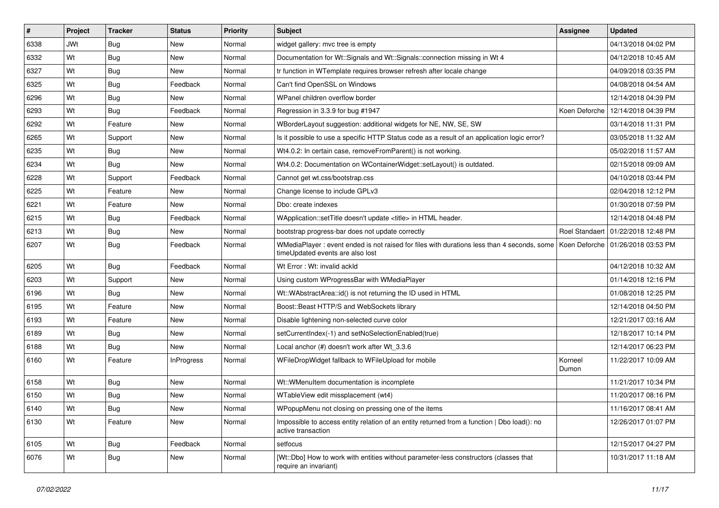| #    | Project    | <b>Tracker</b> | <b>Status</b>     | <b>Priority</b> | <b>Subject</b>                                                                                                                 | <b>Assignee</b>  | <b>Updated</b>                       |
|------|------------|----------------|-------------------|-----------------|--------------------------------------------------------------------------------------------------------------------------------|------------------|--------------------------------------|
| 6338 | <b>JWt</b> | Bug            | New               | Normal          | widget gallery: mvc tree is empty                                                                                              |                  | 04/13/2018 04:02 PM                  |
| 6332 | Wt         | Bug            | New               | Normal          | Documentation for Wt::Signals and Wt::Signals::connection missing in Wt 4                                                      |                  | 04/12/2018 10:45 AM                  |
| 6327 | Wt         | Bug            | New               | Normal          | tr function in WTemplate requires browser refresh after locale change                                                          |                  | 04/09/2018 03:35 PM                  |
| 6325 | Wt         | Bug            | Feedback          | Normal          | Can't find OpenSSL on Windows                                                                                                  |                  | 04/08/2018 04:54 AM                  |
| 6296 | Wt         | Bug            | <b>New</b>        | Normal          | WPanel children overflow border                                                                                                |                  | 12/14/2018 04:39 PM                  |
| 6293 | Wt         | Bug            | Feedback          | Normal          | Regression in 3.3.9 for bug #1947                                                                                              |                  | Koen Deforche   12/14/2018 04:39 PM  |
| 6292 | Wt         | Feature        | <b>New</b>        | Normal          | WBorderLayout suggestion: additional widgets for NE, NW, SE, SW                                                                |                  | 03/14/2018 11:31 PM                  |
| 6265 | Wt         | Support        | New               | Normal          | Is it possible to use a specific HTTP Status code as a result of an application logic error?                                   |                  | 03/05/2018 11:32 AM                  |
| 6235 | Wt         | Bug            | New               | Normal          | Wt4.0.2: In certain case, removeFromParent() is not working.                                                                   |                  | 05/02/2018 11:57 AM                  |
| 6234 | Wt         | Bug            | <b>New</b>        | Normal          | Wt4.0.2: Documentation on WContainerWidget::setLayout() is outdated.                                                           |                  | 02/15/2018 09:09 AM                  |
| 6228 | Wt         | Support        | Feedback          | Normal          | Cannot get wt.css/bootstrap.css                                                                                                |                  | 04/10/2018 03:44 PM                  |
| 6225 | Wt         | Feature        | <b>New</b>        | Normal          | Change license to include GPLv3                                                                                                |                  | 02/04/2018 12:12 PM                  |
| 6221 | Wt         | Feature        | New               | Normal          | Dbo: create indexes                                                                                                            |                  | 01/30/2018 07:59 PM                  |
| 6215 | Wt         | Bug            | Feedback          | Normal          | WApplication::setTitle doesn't update <title> in HTML header.</title>                                                          |                  | 12/14/2018 04:48 PM                  |
| 6213 | Wt         | Bug            | <b>New</b>        | Normal          | bootstrap progress-bar does not update correctly                                                                               |                  | Roel Standaert   01/22/2018 12:48 PM |
| 6207 | Wt         | Bug            | Feedback          | Normal          | WMediaPlayer: event ended is not raised for files with durations less than 4 seconds, some<br>timeUpdated events are also lost |                  | Koen Deforche   01/26/2018 03:53 PM  |
| 6205 | Wt         | Bug            | Feedback          | Normal          | Wt Error: Wt: invalid ackId                                                                                                    |                  | 04/12/2018 10:32 AM                  |
| 6203 | Wt         | Support        | New               | Normal          | Using custom WProgressBar with WMediaPlayer                                                                                    |                  | 01/14/2018 12:16 PM                  |
| 6196 | Wt         | Bug            | <b>New</b>        | Normal          | Wt::WAbstractArea::id() is not returning the ID used in HTML                                                                   |                  | 01/08/2018 12:25 PM                  |
| 6195 | Wt         | Feature        | New               | Normal          | Boost::Beast HTTP/S and WebSockets library                                                                                     |                  | 12/14/2018 04:50 PM                  |
| 6193 | Wt         | Feature        | <b>New</b>        | Normal          | Disable lightening non-selected curve color                                                                                    |                  | 12/21/2017 03:16 AM                  |
| 6189 | Wt         | Bug            | <b>New</b>        | Normal          | setCurrentIndex(-1) and setNoSelectionEnabled(true)                                                                            |                  | 12/18/2017 10:14 PM                  |
| 6188 | Wt         | <b>Bug</b>     | New               | Normal          | Local anchor (#) doesn't work after Wt 3.3.6                                                                                   |                  | 12/14/2017 06:23 PM                  |
| 6160 | Wt         | Feature        | <b>InProgress</b> | Normal          | WFileDropWidget fallback to WFileUpload for mobile                                                                             | Korneel<br>Dumon | 11/22/2017 10:09 AM                  |
| 6158 | Wt         | Bug            | <b>New</b>        | Normal          | Wt::WMenuItem documentation is incomplete                                                                                      |                  | 11/21/2017 10:34 PM                  |
| 6150 | Wt         | Bug            | New               | Normal          | WTableView edit missplacement (wt4)                                                                                            |                  | 11/20/2017 08:16 PM                  |
| 6140 | Wt         | Bug            | New               | Normal          | WPopupMenu not closing on pressing one of the items                                                                            |                  | 11/16/2017 08:41 AM                  |
| 6130 | Wt         | Feature        | New               | Normal          | Impossible to access entity relation of an entity returned from a function   Dbo load(): no<br>active transaction              |                  | 12/26/2017 01:07 PM                  |
| 6105 | Wt         | <b>Bug</b>     | Feedback          | Normal          | setfocus                                                                                                                       |                  | 12/15/2017 04:27 PM                  |
| 6076 | Wt         | <b>Bug</b>     | New               | Normal          | [Wt::Dbo] How to work with entities without parameter-less constructors (classes that<br>require an invariant)                 |                  | 10/31/2017 11:18 AM                  |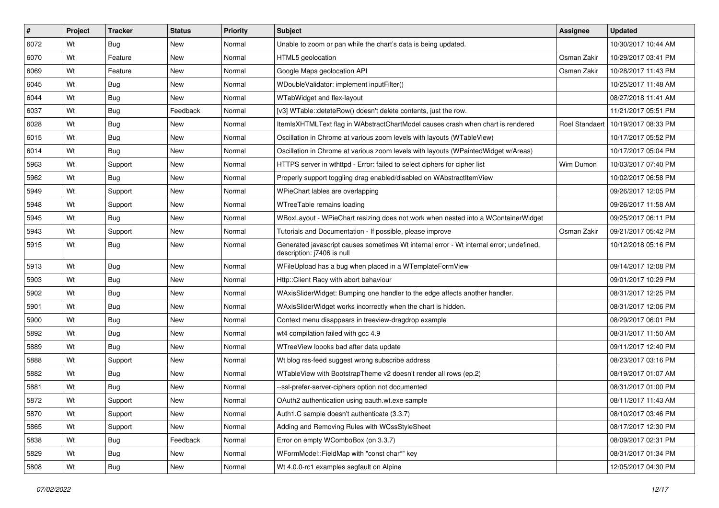| #    | Project | <b>Tracker</b> | <b>Status</b> | Priority | <b>Subject</b>                                                                                                        | <b>Assignee</b> | <b>Updated</b>                       |
|------|---------|----------------|---------------|----------|-----------------------------------------------------------------------------------------------------------------------|-----------------|--------------------------------------|
| 6072 | Wt      | Bug            | New           | Normal   | Unable to zoom or pan while the chart's data is being updated.                                                        |                 | 10/30/2017 10:44 AM                  |
| 6070 | Wt      | Feature        | New           | Normal   | HTML5 geolocation                                                                                                     | Osman Zakir     | 10/29/2017 03:41 PM                  |
| 6069 | Wt      | Feature        | New           | Normal   | Google Maps geolocation API                                                                                           | Osman Zakir     | 10/28/2017 11:43 PM                  |
| 6045 | Wt      | Bug            | New           | Normal   | WDoubleValidator: implement inputFilter()                                                                             |                 | 10/25/2017 11:48 AM                  |
| 6044 | Wt      | Bug            | <b>New</b>    | Normal   | WTabWidget and flex-layout                                                                                            |                 | 08/27/2018 11:41 AM                  |
| 6037 | Wt      | Bug            | Feedback      | Normal   | [v3] WTable::deteteRow() doesn't delete contents, just the row.                                                       |                 | 11/21/2017 05:51 PM                  |
| 6028 | Wt      | Bug            | New           | Normal   | ItemIsXHTMLText flag in WAbstractChartModel causes crash when chart is rendered                                       |                 | Roel Standaert   10/19/2017 08:33 PM |
| 6015 | Wt      | Bug            | New           | Normal   | Oscillation in Chrome at various zoom levels with layouts (WTableView)                                                |                 | 10/17/2017 05:52 PM                  |
| 6014 | Wt      | Bug            | New           | Normal   | Oscillation in Chrome at various zoom levels with layouts (WPaintedWidget w/Areas)                                    |                 | 10/17/2017 05:04 PM                  |
| 5963 | Wt      | Support        | New           | Normal   | HTTPS server in wthttpd - Error: failed to select ciphers for cipher list                                             | Wim Dumon       | 10/03/2017 07:40 PM                  |
| 5962 | Wt      | Bug            | New           | Normal   | Properly support toggling drag enabled/disabled on WAbstractItemView                                                  |                 | 10/02/2017 06:58 PM                  |
| 5949 | Wt      | Support        | New           | Normal   | WPieChart lables are overlapping                                                                                      |                 | 09/26/2017 12:05 PM                  |
| 5948 | Wt      | Support        | New           | Normal   | WTreeTable remains loading                                                                                            |                 | 09/26/2017 11:58 AM                  |
| 5945 | Wt      | Bug            | New           | Normal   | WBoxLayout - WPieChart resizing does not work when nested into a WContainerWidget                                     |                 | 09/25/2017 06:11 PM                  |
| 5943 | Wt      | Support        | New           | Normal   | Tutorials and Documentation - If possible, please improve                                                             | Osman Zakir     | 09/21/2017 05:42 PM                  |
| 5915 | Wt      | Bug            | New           | Normal   | Generated javascript causes sometimes Wt internal error - Wt internal error; undefined,<br>description: j7406 is null |                 | 10/12/2018 05:16 PM                  |
| 5913 | Wt      | Bug            | <b>New</b>    | Normal   | WFileUpload has a bug when placed in a WTemplateFormView                                                              |                 | 09/14/2017 12:08 PM                  |
| 5903 | Wt      | <b>Bug</b>     | New           | Normal   | Http:: Client Racy with abort behaviour                                                                               |                 | 09/01/2017 10:29 PM                  |
| 5902 | Wt      | Bug            | New           | Normal   | WAxisSliderWidget: Bumping one handler to the edge affects another handler.                                           |                 | 08/31/2017 12:25 PM                  |
| 5901 | Wt      | Bug            | New           | Normal   | WAxisSliderWidget works incorrectly when the chart is hidden.                                                         |                 | 08/31/2017 12:06 PM                  |
| 5900 | Wt      | Bug            | New           | Normal   | Context menu disappears in treeview-dragdrop example                                                                  |                 | 08/29/2017 06:01 PM                  |
| 5892 | Wt      | Bug            | New           | Normal   | wt4 compilation failed with gcc 4.9                                                                                   |                 | 08/31/2017 11:50 AM                  |
| 5889 | Wt      | Bug            | New           | Normal   | WTreeView loooks bad after data update                                                                                |                 | 09/11/2017 12:40 PM                  |
| 5888 | Wt      | Support        | New           | Normal   | Wt blog rss-feed suggest wrong subscribe address                                                                      |                 | 08/23/2017 03:16 PM                  |
| 5882 | Wt      | Bug            | <b>New</b>    | Normal   | WTableView with BootstrapTheme v2 doesn't render all rows (ep.2)                                                      |                 | 08/19/2017 01:07 AM                  |
| 5881 | Wt      | Bug            | New           | Normal   | --ssl-prefer-server-ciphers option not documented                                                                     |                 | 08/31/2017 01:00 PM                  |
| 5872 | Wt      | Support        | New           | Normal   | OAuth2 authentication using oauth.wt.exe sample                                                                       |                 | 08/11/2017 11:43 AM                  |
| 5870 | Wt      | Support        | New           | Normal   | Auth1.C sample doesn't authenticate (3.3.7)                                                                           |                 | 08/10/2017 03:46 PM                  |
| 5865 | Wt      | Support        | New           | Normal   | Adding and Removing Rules with WCssStyleSheet                                                                         |                 | 08/17/2017 12:30 PM                  |
| 5838 | Wt      | <b>Bug</b>     | Feedback      | Normal   | Error on empty WComboBox (on 3.3.7)                                                                                   |                 | 08/09/2017 02:31 PM                  |
| 5829 | Wt      | <b>Bug</b>     | New           | Normal   | WFormModel::FieldMap with "const char*" key                                                                           |                 | 08/31/2017 01:34 PM                  |
| 5808 | Wt      | <b>Bug</b>     | New           | Normal   | Wt 4.0.0-rc1 examples segfault on Alpine                                                                              |                 | 12/05/2017 04:30 PM                  |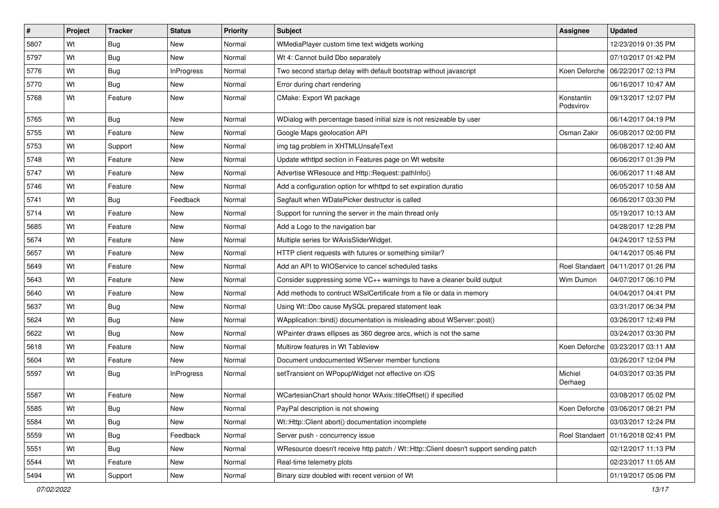| #    | Project | <b>Tracker</b> | <b>Status</b>     | Priority | <b>Subject</b>                                                                        | <b>Assignee</b>         | <b>Updated</b>                      |
|------|---------|----------------|-------------------|----------|---------------------------------------------------------------------------------------|-------------------------|-------------------------------------|
| 5807 | Wt      | <b>Bug</b>     | New               | Normal   | WMediaPlayer custom time text widgets working                                         |                         | 12/23/2019 01:35 PM                 |
| 5797 | Wt      | <b>Bug</b>     | New               | Normal   | Wt 4: Cannot build Dbo separately                                                     |                         | 07/10/2017 01:42 PM                 |
| 5776 | Wt      | <b>Bug</b>     | <b>InProgress</b> | Normal   | Two second startup delay with default bootstrap without javascript                    |                         | Koen Deforche   06/22/2017 02:13 PM |
| 5770 | Wt      | <b>Bug</b>     | New               | Normal   | Error during chart rendering                                                          |                         | 06/16/2017 10:47 AM                 |
| 5768 | Wt      | Feature        | New               | Normal   | CMake: Export Wt package                                                              | Konstantin<br>Podsvirov | 09/13/2017 12:07 PM                 |
| 5765 | Wt      | <b>Bug</b>     | New               | Normal   | WDialog with percentage based initial size is not resizeable by user                  |                         | 06/14/2017 04:19 PM                 |
| 5755 | Wt      | Feature        | New               | Normal   | Google Maps geolocation API                                                           | Osman Zakir             | 06/08/2017 02:00 PM                 |
| 5753 | Wt      | Support        | New               | Normal   | img tag problem in XHTMLUnsafeText                                                    |                         | 06/08/2017 12:40 AM                 |
| 5748 | Wt      | Feature        | New               | Normal   | Update wthttpd section in Features page on Wt website                                 |                         | 06/06/2017 01:39 PM                 |
| 5747 | Wt      | Feature        | New               | Normal   | Advertise WResouce and Http::Request::pathInfo()                                      |                         | 06/06/2017 11:48 AM                 |
| 5746 | Wt      | Feature        | New               | Normal   | Add a configuration option for wthttpd to set expiration duratio                      |                         | 06/05/2017 10:58 AM                 |
| 5741 | Wt      | <b>Bug</b>     | Feedback          | Normal   | Segfault when WDatePicker destructor is called                                        |                         | 06/06/2017 03:30 PM                 |
| 5714 | Wt      | Feature        | New               | Normal   | Support for running the server in the main thread only                                |                         | 05/19/2017 10:13 AM                 |
| 5685 | Wt      | Feature        | New               | Normal   | Add a Logo to the navigation bar                                                      |                         | 04/28/2017 12:28 PM                 |
| 5674 | Wt      | Feature        | New               | Normal   | Multiple series for WAxisSliderWidget.                                                |                         | 04/24/2017 12:53 PM                 |
| 5657 | Wt      | Feature        | New               | Normal   | HTTP client requests with futures or something similar?                               |                         | 04/14/2017 05:46 PM                 |
| 5649 | Wt      | Feature        | New               | Normal   | Add an API to WIOService to cancel scheduled tasks                                    | Roel Standaert          | 04/11/2017 01:26 PM                 |
| 5643 | Wt      | Feature        | New               | Normal   | Consider suppressing some VC++ warnings to have a cleaner build output                | Wim Dumon               | 04/07/2017 06:10 PM                 |
| 5640 | Wt      | Feature        | New               | Normal   | Add methods to contruct WSslCertificate from a file or data in memory                 |                         | 04/04/2017 04:41 PM                 |
| 5637 | Wt      | <b>Bug</b>     | New               | Normal   | Using Wt::Dbo cause MySQL prepared statement leak                                     |                         | 03/31/2017 06:34 PM                 |
| 5624 | Wt      | <b>Bug</b>     | New               | Normal   | WApplication::bind() documentation is misleading about WServer::post()                |                         | 03/26/2017 12:49 PM                 |
| 5622 | Wt      | <b>Bug</b>     | New               | Normal   | WPainter draws ellipses as 360 degree arcs, which is not the same                     |                         | 03/24/2017 03:30 PM                 |
| 5618 | Wt      | Feature        | New               | Normal   | Multirow features in Wt Tableview                                                     |                         | Koen Deforche   03/23/2017 03:11 AM |
| 5604 | Wt      | Feature        | New               | Normal   | Document undocumented WServer member functions                                        |                         | 03/26/2017 12:04 PM                 |
| 5597 | Wt      | <b>Bug</b>     | <b>InProgress</b> | Normal   | setTransient on WPopupWidget not effective on iOS                                     | Michiel<br>Derhaeg      | 04/03/2017 03:35 PM                 |
| 5587 | Wt      | Feature        | New               | Normal   | WCartesianChart should honor WAxis::titleOffset() if specified                        |                         | 03/08/2017 05:02 PM                 |
| 5585 | Wt      | <b>Bug</b>     | New               | Normal   | PayPal description is not showing                                                     |                         | Koen Deforche   03/06/2017 08:21 PM |
| 5584 | Wt      | <b>Bug</b>     | New               | Normal   | Wt::Http::Client abort() documentation incomplete                                     |                         | 03/03/2017 12:24 PM                 |
| 5559 | Wt      | Bug            | Feedback          | Normal   | Server push - concurrency issue                                                       | Roel Standaert          | 01/16/2018 02:41 PM                 |
| 5551 | Wt      | <b>Bug</b>     | New               | Normal   | WResource doesn't receive http patch / Wt::Http::Client doesn't support sending patch |                         | 02/12/2017 11:13 PM                 |
| 5544 | Wt      | Feature        | New               | Normal   | Real-time telemetry plots                                                             |                         | 02/23/2017 11:05 AM                 |
| 5494 | Wt      | Support        | New               | Normal   | Binary size doubled with recent version of Wt                                         |                         | 01/19/2017 05:06 PM                 |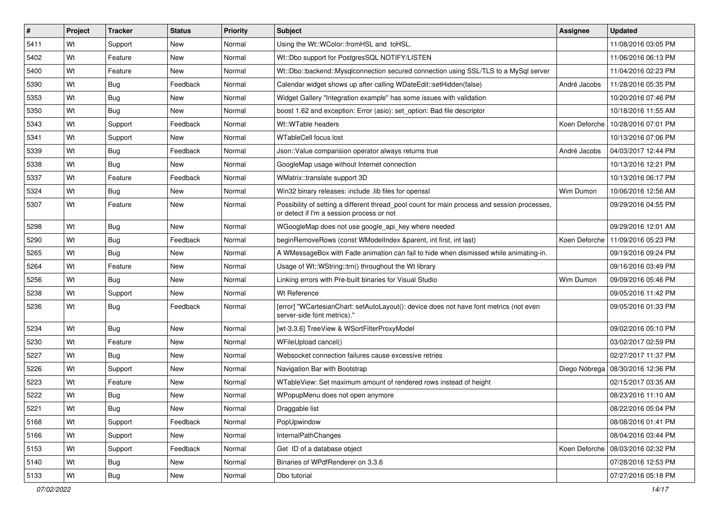| #    | Project | <b>Tracker</b> | <b>Status</b> | <b>Priority</b> | <b>Subject</b>                                                                                                                            | Assignee     | <b>Updated</b>                      |
|------|---------|----------------|---------------|-----------------|-------------------------------------------------------------------------------------------------------------------------------------------|--------------|-------------------------------------|
| 5411 | Wt      | Support        | New           | Normal          | Using the Wt::WColor::fromHSL and toHSL.                                                                                                  |              | 11/08/2016 03:05 PM                 |
| 5402 | Wt      | Feature        | New           | Normal          | Wt::Dbo support for PostgresSQL NOTIFY/LISTEN                                                                                             |              | 11/06/2016 06:13 PM                 |
| 5400 | Wt      | Feature        | New           | Normal          | Wt::Dbo::backend::Mysqlconnection secured connection using SSL/TLS to a MySql server                                                      |              | 11/04/2016 02:23 PM                 |
| 5390 | Wt      | Bug            | Feedback      | Normal          | Calendar widget shows up after calling WDateEdit::setHidden(false)                                                                        | André Jacobs | 11/28/2016 05:35 PM                 |
| 5353 | Wt      | <b>Bug</b>     | New           | Normal          | Widget Gallery "Integration example" has some issues with validation                                                                      |              | 10/20/2016 07:46 PM                 |
| 5350 | Wt      | Bug            | New           | Normal          | boost 1.62 and exception: Error (asio): set option: Bad file descriptor                                                                   |              | 10/18/2016 11:55 AM                 |
| 5343 | Wt      | Support        | Feedback      | Normal          | Wt::WTable headers                                                                                                                        |              | Koen Deforche   10/28/2016 07:01 PM |
| 5341 | Wt      | Support        | <b>New</b>    | Normal          | <b>WTableCell focus lost</b>                                                                                                              |              | 10/13/2016 07:06 PM                 |
| 5339 | Wt      | Bug            | Feedback      | Normal          | Json:: Value comparision operator always returns true                                                                                     | André Jacobs | 04/03/2017 12:44 PM                 |
| 5338 | Wt      | Bug            | New           | Normal          | GoogleMap usage without Internet connection                                                                                               |              | 10/13/2016 12:21 PM                 |
| 5337 | Wt      | Feature        | Feedback      | Normal          | WMatrix::translate support 3D                                                                                                             |              | 10/13/2016 06:17 PM                 |
| 5324 | Wt      | Bug            | New           | Normal          | Win32 binary releases: include .lib files for openssl                                                                                     | Wim Dumon    | 10/06/2016 12:56 AM                 |
| 5307 | Wt      | Feature        | New           | Normal          | Possibility of setting a different thread_pool count for main process and session processes,<br>or detect if I'm a session process or not |              | 09/29/2016 04:55 PM                 |
| 5298 | Wt      | Bug            | New           | Normal          | WGoogleMap does not use google_api_key where needed                                                                                       |              | 09/29/2016 12:01 AM                 |
| 5290 | Wt      | Bug            | Feedback      | Normal          | beginRemoveRows (const WModelIndex &parent, int first, int last)                                                                          |              | Koen Deforche   11/09/2016 05:23 PM |
| 5265 | Wt      | Bug            | New           | Normal          | A WMessageBox with Fade animation can fail to hide when dismissed while animating-in.                                                     |              | 09/19/2016 09:24 PM                 |
| 5264 | Wt      | Feature        | New           | Normal          | Usage of Wt::WString::trn() throughout the Wt library                                                                                     |              | 09/16/2016 03:49 PM                 |
| 5256 | Wt      | Bug            | New           | Normal          | Linking errors with Pre-built binaries for Visual Studio                                                                                  | Wim Dumon    | 09/09/2016 05:46 PM                 |
| 5238 | Wt      | Support        | New           | Normal          | Wt Reference                                                                                                                              |              | 09/05/2016 11:42 PM                 |
| 5236 | Wt      | Bug            | Feedback      | Normal          | [error] "WCartesianChart: setAutoLayout(): device does not have font metrics (not even<br>server-side font metrics)."                     |              | 09/05/2016 01:33 PM                 |
| 5234 | Wt      | Bug            | New           | Normal          | [wt-3.3.6] TreeView & WSortFilterProxyModel                                                                                               |              | 09/02/2016 05:10 PM                 |
| 5230 | Wt      | Feature        | New           | Normal          | WFileUpload cancel()                                                                                                                      |              | 03/02/2017 02:59 PM                 |
| 5227 | Wt      | <b>Bug</b>     | New           | Normal          | Websocket connection failures cause excessive retries                                                                                     |              | 02/27/2017 11:37 PM                 |
| 5226 | Wt      | Support        | New           | Normal          | Navigation Bar with Bootstrap                                                                                                             |              | Diego Nóbrega   08/30/2016 12:36 PM |
| 5223 | Wt      | Feature        | New           | Normal          | WTableView: Set maximum amount of rendered rows instead of height                                                                         |              | 02/15/2017 03:35 AM                 |
| 5222 | Wt      | Bug            | New           | Normal          | WPopupMenu does not open anymore                                                                                                          |              | 08/23/2016 11:10 AM                 |
| 5221 | Wt      | Bug            | New           | Normal          | Draggable list                                                                                                                            |              | 08/22/2016 05:04 PM                 |
| 5168 | Wt      | Support        | Feedback      | Normal          | PopUpwindow                                                                                                                               |              | 08/08/2016 01:41 PM                 |
| 5166 | Wt      | Support        | New           | Normal          | InternalPathChanges                                                                                                                       |              | 08/04/2016 03:44 PM                 |
| 5153 | Wt      | Support        | Feedback      | Normal          | Get ID of a database object                                                                                                               |              | Koen Deforche   08/03/2016 02:32 PM |
| 5140 | Wt      | <b>Bug</b>     | New           | Normal          | Binaries of WPdfRenderer on 3.3.6                                                                                                         |              | 07/28/2016 12:53 PM                 |
| 5133 | Wt      | <b>Bug</b>     | New           | Normal          | Dbo tutorial                                                                                                                              |              | 07/27/2016 05:18 PM                 |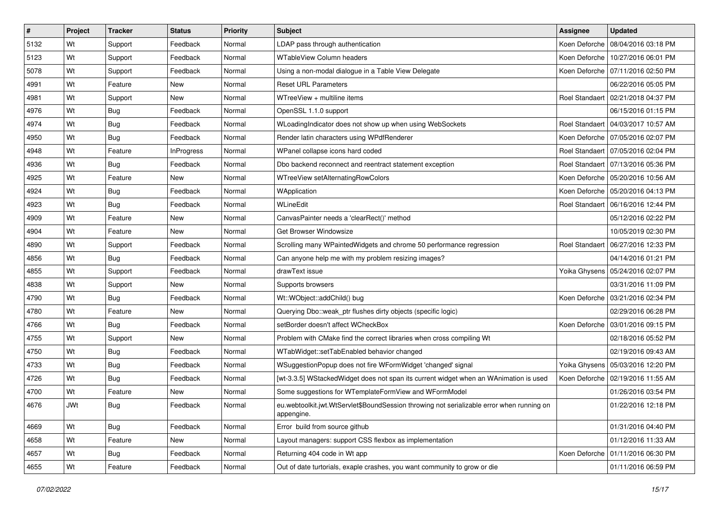| #    | Project    | <b>Tracker</b> | <b>Status</b>     | <b>Priority</b> | Subject                                                                                                 | <b>Assignee</b>       | <b>Updated</b>                       |
|------|------------|----------------|-------------------|-----------------|---------------------------------------------------------------------------------------------------------|-----------------------|--------------------------------------|
| 5132 | Wt         | Support        | Feedback          | Normal          | LDAP pass through authentication                                                                        | Koen Deforche         | 08/04/2016 03:18 PM                  |
| 5123 | Wt         | Support        | Feedback          | Normal          | WTableView Column headers                                                                               |                       | Koen Deforche   10/27/2016 06:01 PM  |
| 5078 | Wt         | Support        | Feedback          | Normal          | Using a non-modal dialogue in a Table View Delegate                                                     |                       | Koen Deforche   07/11/2016 02:50 PM  |
| 4991 | Wt         | Feature        | New               | Normal          | <b>Reset URL Parameters</b>                                                                             |                       | 06/22/2016 05:05 PM                  |
| 4981 | Wt         | Support        | New               | Normal          | WTreeView + multiline items                                                                             | <b>Roel Standaert</b> | 02/21/2018 04:37 PM                  |
| 4976 | Wt         | Bug            | Feedback          | Normal          | OpenSSL 1.1.0 support                                                                                   |                       | 06/15/2016 01:15 PM                  |
| 4974 | Wt         | Bug            | Feedback          | Normal          | WLoadingIndicator does not show up when using WebSockets                                                |                       | Roel Standaert   04/03/2017 10:57 AM |
| 4950 | Wt         | Bug            | Feedback          | Normal          | Render latin characters using WPdfRenderer                                                              |                       | Koen Deforche   07/05/2016 02:07 PM  |
| 4948 | Wt         | Feature        | <b>InProgress</b> | Normal          | WPanel collapse icons hard coded                                                                        |                       | Roel Standaert   07/05/2016 02:04 PM |
| 4936 | Wt         | Bug            | Feedback          | Normal          | Dbo backend reconnect and reentract statement exception                                                 |                       | Roel Standaert   07/13/2016 05:36 PM |
| 4925 | Wt         | Feature        | New               | Normal          | WTreeView setAlternatingRowColors                                                                       |                       | Koen Deforche   05/20/2016 10:56 AM  |
| 4924 | Wt         | Bug            | Feedback          | Normal          | WApplication                                                                                            |                       | Koen Deforche   05/20/2016 04:13 PM  |
| 4923 | Wt         | Bug            | Feedback          | Normal          | WLineEdit                                                                                               | Roel Standaert        | 06/16/2016 12:44 PM                  |
| 4909 | Wt         | Feature        | New               | Normal          | CanvasPainter needs a 'clearRect()' method                                                              |                       | 05/12/2016 02:22 PM                  |
| 4904 | Wt         | Feature        | New               | Normal          | Get Browser Windowsize                                                                                  |                       | 10/05/2019 02:30 PM                  |
| 4890 | Wt         | Support        | Feedback          | Normal          | Scrolling many WPaintedWidgets and chrome 50 performance regression                                     | Roel Standaert        | 06/27/2016 12:33 PM                  |
| 4856 | Wt         | Bug            | Feedback          | Normal          | Can anyone help me with my problem resizing images?                                                     |                       | 04/14/2016 01:21 PM                  |
| 4855 | Wt         | Support        | Feedback          | Normal          | drawText issue                                                                                          | Yoika Ghysens         | 05/24/2016 02:07 PM                  |
| 4838 | Wt         | Support        | New               | Normal          | Supports browsers                                                                                       |                       | 03/31/2016 11:09 PM                  |
| 4790 | Wt         | Bug            | Feedback          | Normal          | Wt::WObject::addChild() bug                                                                             | Koen Deforche         | 03/21/2016 02:34 PM                  |
| 4780 | Wt         | Feature        | New               | Normal          | Querying Dbo:: weak ptr flushes dirty objects (specific logic)                                          |                       | 02/29/2016 06:28 PM                  |
| 4766 | Wt         | Bug            | Feedback          | Normal          | setBorder doesn't affect WCheckBox                                                                      |                       | Koen Deforche   03/01/2016 09:15 PM  |
| 4755 | Wt         | Support        | New               | Normal          | Problem with CMake find the correct libraries when cross compiling Wt                                   |                       | 02/18/2016 05:52 PM                  |
| 4750 | Wt         | Bug            | Feedback          | Normal          | WTabWidget::setTabEnabled behavior changed                                                              |                       | 02/19/2016 09:43 AM                  |
| 4733 | Wt         | Bug            | Feedback          | Normal          | WSuggestionPopup does not fire WFormWidget 'changed' signal                                             |                       | Yoika Ghysens   05/03/2016 12:20 PM  |
| 4726 | Wt         | Bug            | Feedback          | Normal          | [wt-3.3.5] WStackedWidget does not span its current widget when an WAnimation is used                   |                       | Koen Deforche   02/19/2016 11:55 AM  |
| 4700 | Wt         | Feature        | New               | Normal          | Some suggestions for WTemplateFormView and WFormModel                                                   |                       | 01/26/2016 03:54 PM                  |
| 4676 | <b>JWt</b> | Bug            | Feedback          | Normal          | eu.webtoolkit.jwt.WtServlet\$BoundSession throwing not serializable error when running on<br>appengine. |                       | 01/22/2016 12:18 PM                  |
| 4669 | Wt         | <b>Bug</b>     | Feedback          | Normal          | Error build from source github                                                                          |                       | 01/31/2016 04:40 PM                  |
| 4658 | Wt         | Feature        | New               | Normal          | Layout managers: support CSS flexbox as implementation                                                  |                       | 01/12/2016 11:33 AM                  |
| 4657 | Wt         | <b>Bug</b>     | Feedback          | Normal          | Returning 404 code in Wt app                                                                            |                       | Koen Deforche   01/11/2016 06:30 PM  |
| 4655 | Wt         | Feature        | Feedback          | Normal          | Out of date turtorials, exaple crashes, you want community to grow or die                               |                       | 01/11/2016 06:59 PM                  |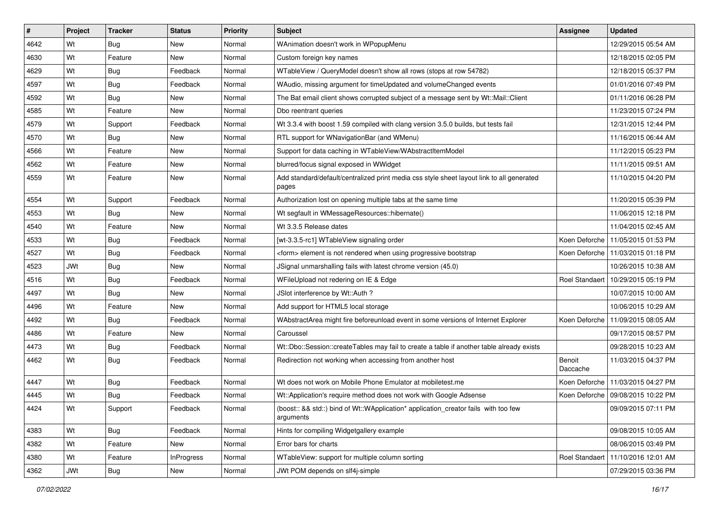| #    | Project    | <b>Tracker</b> | <b>Status</b>     | Priority | <b>Subject</b>                                                                                     | <b>Assignee</b>    | <b>Updated</b>                       |
|------|------------|----------------|-------------------|----------|----------------------------------------------------------------------------------------------------|--------------------|--------------------------------------|
| 4642 | Wt         | Bug            | New               | Normal   | WAnimation doesn't work in WPopupMenu                                                              |                    | 12/29/2015 05:54 AM                  |
| 4630 | Wt         | Feature        | New               | Normal   | Custom foreign key names                                                                           |                    | 12/18/2015 02:05 PM                  |
| 4629 | Wt         | Bug            | Feedback          | Normal   | WTableView / QueryModel doesn't show all rows (stops at row 54782)                                 |                    | 12/18/2015 05:37 PM                  |
| 4597 | Wt         | Bug            | Feedback          | Normal   | WAudio, missing argument for timeUpdated and volumeChanged events                                  |                    | 01/01/2016 07:49 PM                  |
| 4592 | Wt         | Bug            | <b>New</b>        | Normal   | The Bat email client shows corrupted subject of a message sent by Wt::Mail::Client                 |                    | 01/11/2016 06:28 PM                  |
| 4585 | Wt         | Feature        | New               | Normal   | Dbo reentrant queries                                                                              |                    | 11/23/2015 07:24 PM                  |
| 4579 | Wt         | Support        | Feedback          | Normal   | Wt 3.3.4 with boost 1.59 compiled with clang version 3.5.0 builds, but tests fail                  |                    | 12/31/2015 12:44 PM                  |
| 4570 | Wt         | Bug            | New               | Normal   | RTL support for WNavigationBar (and WMenu)                                                         |                    | 11/16/2015 06:44 AM                  |
| 4566 | Wt         | Feature        | New               | Normal   | Support for data caching in WTableView/WAbstractItemModel                                          |                    | 11/12/2015 05:23 PM                  |
| 4562 | Wt         | Feature        | New               | Normal   | blurred/focus signal exposed in WWidget                                                            |                    | 11/11/2015 09:51 AM                  |
| 4559 | Wt         | Feature        | New               | Normal   | Add standard/default/centralized print media css style sheet layout link to all generated<br>pages |                    | 11/10/2015 04:20 PM                  |
| 4554 | Wt         | Support        | Feedback          | Normal   | Authorization lost on opening multiple tabs at the same time                                       |                    | 11/20/2015 05:39 PM                  |
| 4553 | Wt         | <b>Bug</b>     | New               | Normal   | Wt segfault in WMessageResources::hibernate()                                                      |                    | 11/06/2015 12:18 PM                  |
| 4540 | Wt         | Feature        | New               | Normal   | Wt 3.3.5 Release dates                                                                             |                    | 11/04/2015 02:45 AM                  |
| 4533 | Wt         | Bug            | Feedback          | Normal   | [wt-3.3.5-rc1] WTableView signaling order                                                          |                    | Koen Deforche   11/05/2015 01:53 PM  |
| 4527 | Wt         | Bug            | Feedback          | Normal   | <form> element is not rendered when using progressive bootstrap</form>                             |                    | Koen Deforche   11/03/2015 01:18 PM  |
| 4523 | <b>JWt</b> | Bug            | New               | Normal   | JSignal unmarshalling fails with latest chrome version (45.0)                                      |                    | 10/26/2015 10:38 AM                  |
| 4516 | Wt         | Bug            | Feedback          | Normal   | WFileUpload not redering on IE & Edge                                                              | Roel Standaert     | 10/29/2015 05:19 PM                  |
| 4497 | Wt         | Bug            | New               | Normal   | JSlot interference by Wt::Auth ?                                                                   |                    | 10/07/2015 10:00 AM                  |
| 4496 | Wt         | Feature        | New               | Normal   | Add support for HTML5 local storage                                                                |                    | 10/06/2015 10:29 AM                  |
| 4492 | Wt         | Bug            | Feedback          | Normal   | WAbstractArea might fire beforeunload event in some versions of Internet Explorer                  |                    | Koen Deforche   11/09/2015 08:05 AM  |
| 4486 | Wt         | Feature        | <b>New</b>        | Normal   | Caroussel                                                                                          |                    | 09/17/2015 08:57 PM                  |
| 4473 | Wt         | Bug            | Feedback          | Normal   | Wt::Dbo::Session::createTables may fail to create a table if another table already exists          |                    | 09/28/2015 10:23 AM                  |
| 4462 | Wt         | Bug            | Feedback          | Normal   | Redirection not working when accessing from another host                                           | Benoit<br>Daccache | 11/03/2015 04:37 PM                  |
| 4447 | Wt         | Bug            | Feedback          | Normal   | Wt does not work on Mobile Phone Emulator at mobiletest.me                                         | Koen Deforche      | 11/03/2015 04:27 PM                  |
| 4445 | Wt         | Bug            | Feedback          | Normal   | Wt::Application's require method does not work with Google Adsense                                 |                    | Koen Deforche 109/08/2015 10:22 PM   |
| 4424 | Wt         | Support        | Feedback          | Normal   | (boost:: && std::) bind of Wt::WApplication* application_creator fails with too few<br>arguments   |                    | 09/09/2015 07:11 PM                  |
| 4383 | Wt         | Bug            | Feedback          | Normal   | Hints for compiling Widgetgallery example                                                          |                    | 09/08/2015 10:05 AM                  |
| 4382 | Wt         | Feature        | New               | Normal   | Error bars for charts                                                                              |                    | 08/06/2015 03:49 PM                  |
| 4380 | Wt         | Feature        | <b>InProgress</b> | Normal   | WTableView: support for multiple column sorting                                                    |                    | Roel Standaert   11/10/2016 12:01 AM |
| 4362 | JWt        | Bug            | New               | Normal   | JWt POM depends on slf4j-simple                                                                    |                    | 07/29/2015 03:36 PM                  |